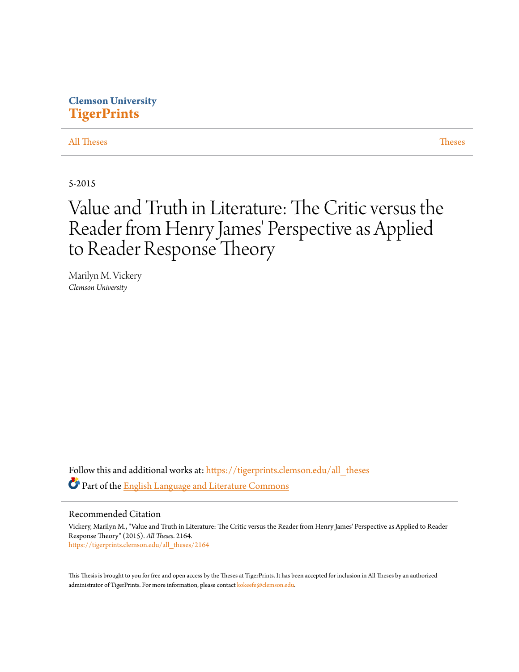# **Clemson University [TigerPrints](https://tigerprints.clemson.edu?utm_source=tigerprints.clemson.edu%2Fall_theses%2F2164&utm_medium=PDF&utm_campaign=PDFCoverPages)**

[All Theses](https://tigerprints.clemson.edu/all_theses?utm_source=tigerprints.clemson.edu%2Fall_theses%2F2164&utm_medium=PDF&utm_campaign=PDFCoverPages) **[Theses](https://tigerprints.clemson.edu/theses?utm_source=tigerprints.clemson.edu%2Fall_theses%2F2164&utm_medium=PDF&utm_campaign=PDFCoverPages)** 

5-2015

# Value and Truth in Literature: The Critic versus the Reader from Henry James' Perspective as Applied to Reader Response Theory

Marilyn M. Vickery *Clemson University*

Follow this and additional works at: [https://tigerprints.clemson.edu/all\\_theses](https://tigerprints.clemson.edu/all_theses?utm_source=tigerprints.clemson.edu%2Fall_theses%2F2164&utm_medium=PDF&utm_campaign=PDFCoverPages) Part of the [English Language and Literature Commons](http://network.bepress.com/hgg/discipline/455?utm_source=tigerprints.clemson.edu%2Fall_theses%2F2164&utm_medium=PDF&utm_campaign=PDFCoverPages)

Recommended Citation

Vickery, Marilyn M., "Value and Truth in Literature: The Critic versus the Reader from Henry James' Perspective as Applied to Reader Response Theory" (2015). *All Theses*. 2164. [https://tigerprints.clemson.edu/all\\_theses/2164](https://tigerprints.clemson.edu/all_theses/2164?utm_source=tigerprints.clemson.edu%2Fall_theses%2F2164&utm_medium=PDF&utm_campaign=PDFCoverPages)

This Thesis is brought to you for free and open access by the Theses at TigerPrints. It has been accepted for inclusion in All Theses by an authorized administrator of TigerPrints. For more information, please contact [kokeefe@clemson.edu](mailto:kokeefe@clemson.edu).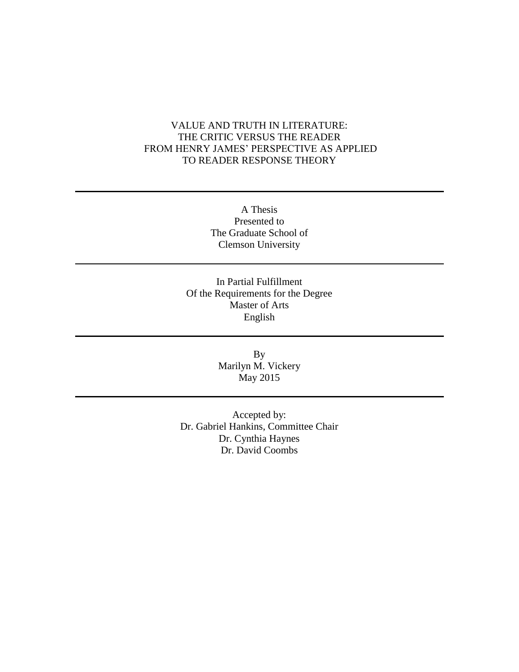# VALUE AND TRUTH IN LITERATURE: THE CRITIC VERSUS THE READER FROM HENRY JAMES' PERSPECTIVE AS APPLIED TO READER RESPONSE THEORY

A Thesis Presented to The Graduate School of Clemson University

In Partial Fulfillment Of the Requirements for the Degree Master of Arts English

> By Marilyn M. Vickery May 2015

Accepted by: Dr. Gabriel Hankins, Committee Chair Dr. Cynthia Haynes Dr. David Coombs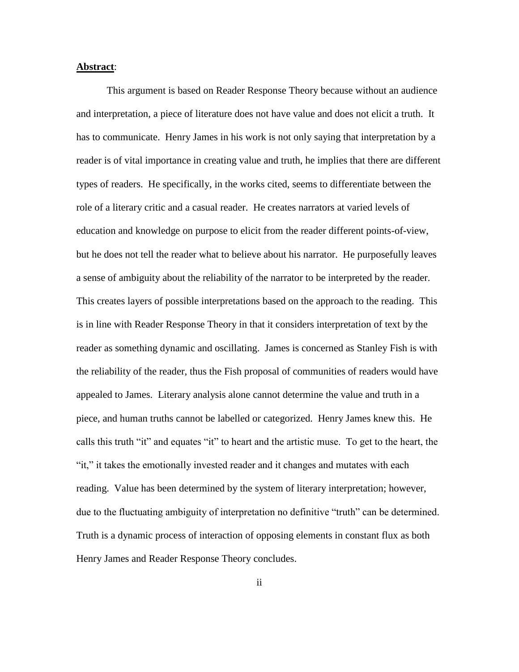#### **Abstract**:

This argument is based on Reader Response Theory because without an audience and interpretation, a piece of literature does not have value and does not elicit a truth. It has to communicate. Henry James in his work is not only saying that interpretation by a reader is of vital importance in creating value and truth, he implies that there are different types of readers. He specifically, in the works cited, seems to differentiate between the role of a literary critic and a casual reader. He creates narrators at varied levels of education and knowledge on purpose to elicit from the reader different points-of-view, but he does not tell the reader what to believe about his narrator. He purposefully leaves a sense of ambiguity about the reliability of the narrator to be interpreted by the reader. This creates layers of possible interpretations based on the approach to the reading. This is in line with Reader Response Theory in that it considers interpretation of text by the reader as something dynamic and oscillating. James is concerned as Stanley Fish is with the reliability of the reader, thus the Fish proposal of communities of readers would have appealed to James. Literary analysis alone cannot determine the value and truth in a piece, and human truths cannot be labelled or categorized. Henry James knew this. He calls this truth "it" and equates "it" to heart and the artistic muse. To get to the heart, the "it," it takes the emotionally invested reader and it changes and mutates with each reading. Value has been determined by the system of literary interpretation; however, due to the fluctuating ambiguity of interpretation no definitive "truth" can be determined. Truth is a dynamic process of interaction of opposing elements in constant flux as both Henry James and Reader Response Theory concludes.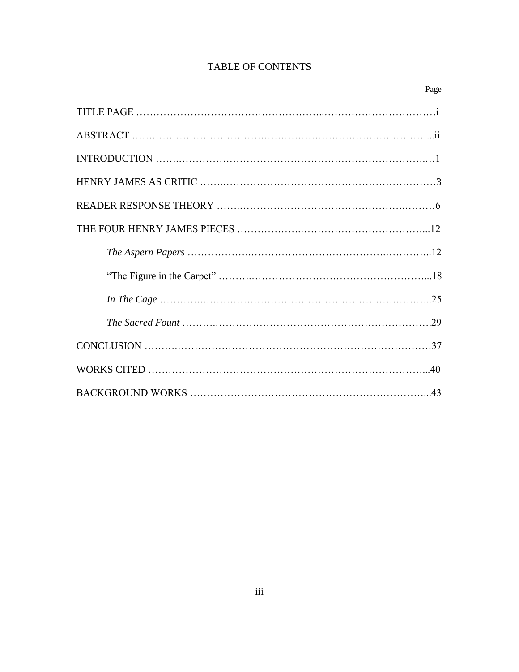# TABLE OF CONTENTS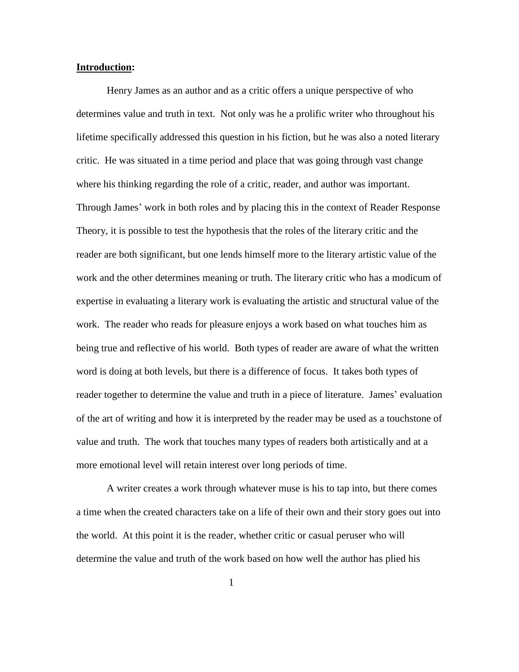## **Introduction:**

Henry James as an author and as a critic offers a unique perspective of who determines value and truth in text. Not only was he a prolific writer who throughout his lifetime specifically addressed this question in his fiction, but he was also a noted literary critic. He was situated in a time period and place that was going through vast change where his thinking regarding the role of a critic, reader, and author was important. Through James' work in both roles and by placing this in the context of Reader Response Theory, it is possible to test the hypothesis that the roles of the literary critic and the reader are both significant, but one lends himself more to the literary artistic value of the work and the other determines meaning or truth. The literary critic who has a modicum of expertise in evaluating a literary work is evaluating the artistic and structural value of the work. The reader who reads for pleasure enjoys a work based on what touches him as being true and reflective of his world. Both types of reader are aware of what the written word is doing at both levels, but there is a difference of focus. It takes both types of reader together to determine the value and truth in a piece of literature. James' evaluation of the art of writing and how it is interpreted by the reader may be used as a touchstone of value and truth. The work that touches many types of readers both artistically and at a more emotional level will retain interest over long periods of time.

A writer creates a work through whatever muse is his to tap into, but there comes a time when the created characters take on a life of their own and their story goes out into the world. At this point it is the reader, whether critic or casual peruser who will determine the value and truth of the work based on how well the author has plied his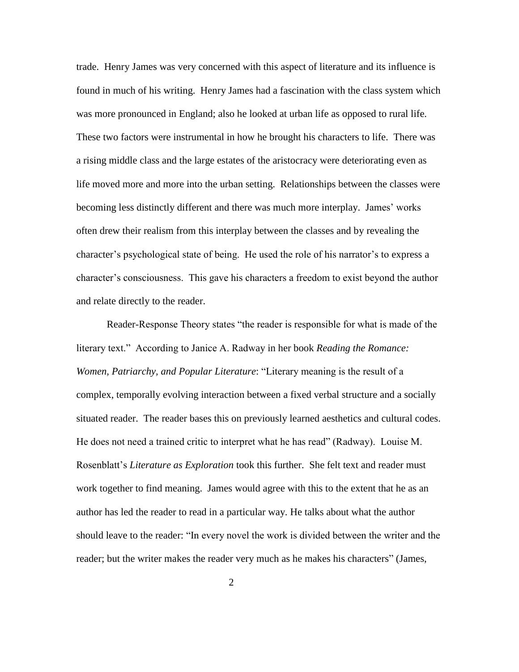trade. Henry James was very concerned with this aspect of literature and its influence is found in much of his writing. Henry James had a fascination with the class system which was more pronounced in England; also he looked at urban life as opposed to rural life. These two factors were instrumental in how he brought his characters to life. There was a rising middle class and the large estates of the aristocracy were deteriorating even as life moved more and more into the urban setting. Relationships between the classes were becoming less distinctly different and there was much more interplay. James' works often drew their realism from this interplay between the classes and by revealing the character's psychological state of being. He used the role of his narrator's to express a character's consciousness. This gave his characters a freedom to exist beyond the author and relate directly to the reader.

Reader-Response Theory states "the reader is responsible for what is made of the literary text." According to Janice A. Radway in her book *Reading the Romance: Women, Patriarchy, and Popular Literature*: "Literary meaning is the result of a complex, temporally evolving interaction between a fixed verbal structure and a socially situated reader. The reader bases this on previously learned aesthetics and cultural codes. He does not need a trained critic to interpret what he has read" (Radway). Louise M. Rosenblatt's *Literature as Exploration* took this further. She felt text and reader must work together to find meaning. James would agree with this to the extent that he as an author has led the reader to read in a particular way. He talks about what the author should leave to the reader: "In every novel the work is divided between the writer and the reader; but the writer makes the reader very much as he makes his characters" (James,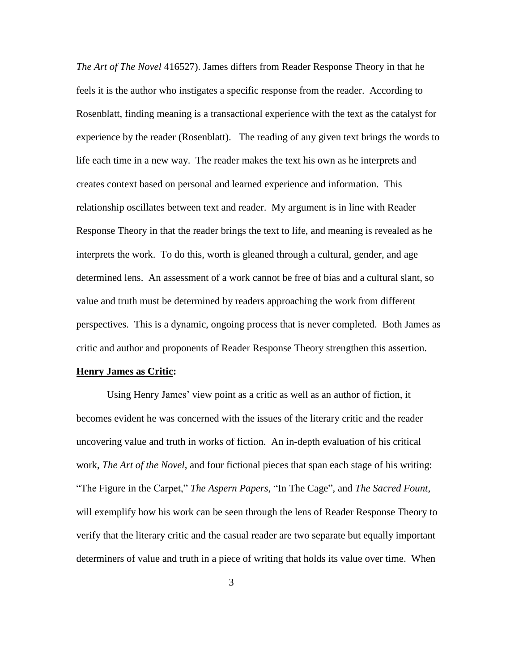*The Art of The Novel* 416527). James differs from Reader Response Theory in that he feels it is the author who instigates a specific response from the reader. According to Rosenblatt, finding meaning is a transactional experience with the text as the catalyst for experience by the reader (Rosenblatt). The reading of any given text brings the words to life each time in a new way. The reader makes the text his own as he interprets and creates context based on personal and learned experience and information. This relationship oscillates between text and reader. My argument is in line with Reader Response Theory in that the reader brings the text to life, and meaning is revealed as he interprets the work. To do this, worth is gleaned through a cultural, gender, and age determined lens. An assessment of a work cannot be free of bias and a cultural slant, so value and truth must be determined by readers approaching the work from different perspectives. This is a dynamic, ongoing process that is never completed. Both James as critic and author and proponents of Reader Response Theory strengthen this assertion.

#### **Henry James as Critic:**

Using Henry James' view point as a critic as well as an author of fiction, it becomes evident he was concerned with the issues of the literary critic and the reader uncovering value and truth in works of fiction. An in-depth evaluation of his critical work, *The Art of the Novel*, and four fictional pieces that span each stage of his writing: "The Figure in the Carpet," *The Aspern Papers*, "In The Cage", and *The Sacred Fount*, will exemplify how his work can be seen through the lens of Reader Response Theory to verify that the literary critic and the casual reader are two separate but equally important determiners of value and truth in a piece of writing that holds its value over time. When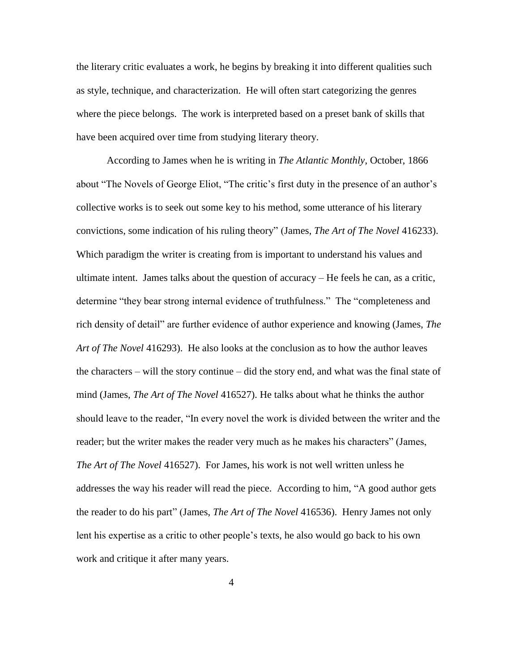the literary critic evaluates a work, he begins by breaking it into different qualities such as style, technique, and characterization. He will often start categorizing the genres where the piece belongs. The work is interpreted based on a preset bank of skills that have been acquired over time from studying literary theory.

According to James when he is writing in *The Atlantic Monthly*, October, 1866 about "The Novels of George Eliot, "The critic's first duty in the presence of an author's collective works is to seek out some key to his method, some utterance of his literary convictions, some indication of his ruling theory" (James, *The Art of The Novel* 416233). Which paradigm the writer is creating from is important to understand his values and ultimate intent. James talks about the question of accuracy – He feels he can, as a critic, determine "they bear strong internal evidence of truthfulness." The "completeness and rich density of detail" are further evidence of author experience and knowing (James, *The Art of The Novel* 416293). He also looks at the conclusion as to how the author leaves the characters – will the story continue – did the story end, and what was the final state of mind (James, *The Art of The Novel* 416527). He talks about what he thinks the author should leave to the reader, "In every novel the work is divided between the writer and the reader; but the writer makes the reader very much as he makes his characters" (James, *The Art of The Novel* 416527). For James, his work is not well written unless he addresses the way his reader will read the piece. According to him, "A good author gets the reader to do his part" (James, *The Art of The Novel* 416536). Henry James not only lent his expertise as a critic to other people's texts, he also would go back to his own work and critique it after many years.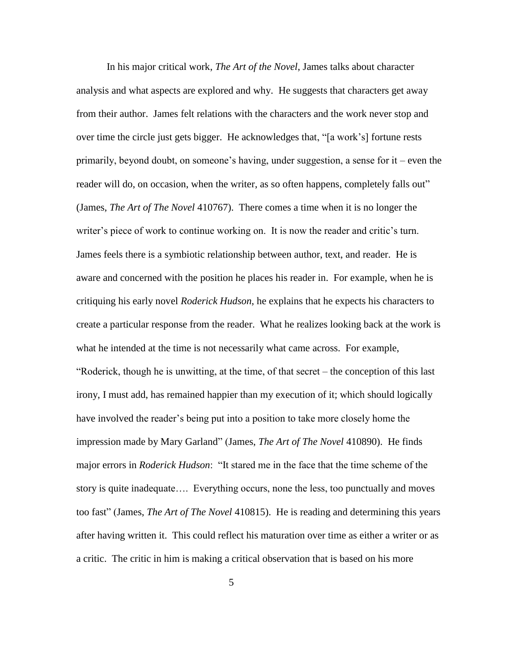In his major critical work, *The Art of the Novel*, James talks about character analysis and what aspects are explored and why. He suggests that characters get away from their author. James felt relations with the characters and the work never stop and over time the circle just gets bigger. He acknowledges that, "[a work's] fortune rests primarily, beyond doubt, on someone's having, under suggestion, a sense for it – even the reader will do, on occasion, when the writer, as so often happens, completely falls out" (James, *The Art of The Novel* 410767). There comes a time when it is no longer the writer's piece of work to continue working on. It is now the reader and critic's turn. James feels there is a symbiotic relationship between author, text, and reader. He is aware and concerned with the position he places his reader in. For example, when he is critiquing his early novel *Roderick Hudson*, he explains that he expects his characters to create a particular response from the reader. What he realizes looking back at the work is what he intended at the time is not necessarily what came across. For example, "Roderick, though he is unwitting, at the time, of that secret – the conception of this last irony, I must add, has remained happier than my execution of it; which should logically have involved the reader's being put into a position to take more closely home the impression made by Mary Garland" (James, *The Art of The Novel* 410890). He finds major errors in *Roderick Hudson*: "It stared me in the face that the time scheme of the story is quite inadequate…. Everything occurs, none the less, too punctually and moves too fast" (James, *The Art of The Novel* 410815). He is reading and determining this years after having written it. This could reflect his maturation over time as either a writer or as a critic. The critic in him is making a critical observation that is based on his more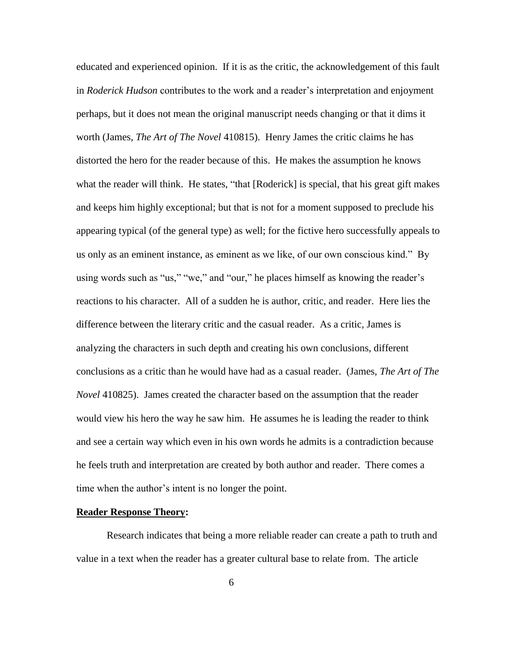educated and experienced opinion. If it is as the critic, the acknowledgement of this fault in *Roderick Hudson* contributes to the work and a reader's interpretation and enjoyment perhaps, but it does not mean the original manuscript needs changing or that it dims it worth (James, *The Art of The Novel* 410815). Henry James the critic claims he has distorted the hero for the reader because of this. He makes the assumption he knows what the reader will think. He states, "that [Roderick] is special, that his great gift makes and keeps him highly exceptional; but that is not for a moment supposed to preclude his appearing typical (of the general type) as well; for the fictive hero successfully appeals to us only as an eminent instance, as eminent as we like, of our own conscious kind." By using words such as "us," "we," and "our," he places himself as knowing the reader's reactions to his character. All of a sudden he is author, critic, and reader. Here lies the difference between the literary critic and the casual reader. As a critic, James is analyzing the characters in such depth and creating his own conclusions, different conclusions as a critic than he would have had as a casual reader. (James, *The Art of The Novel* 410825). James created the character based on the assumption that the reader would view his hero the way he saw him. He assumes he is leading the reader to think and see a certain way which even in his own words he admits is a contradiction because he feels truth and interpretation are created by both author and reader. There comes a time when the author's intent is no longer the point.

#### **Reader Response Theory:**

Research indicates that being a more reliable reader can create a path to truth and value in a text when the reader has a greater cultural base to relate from. The article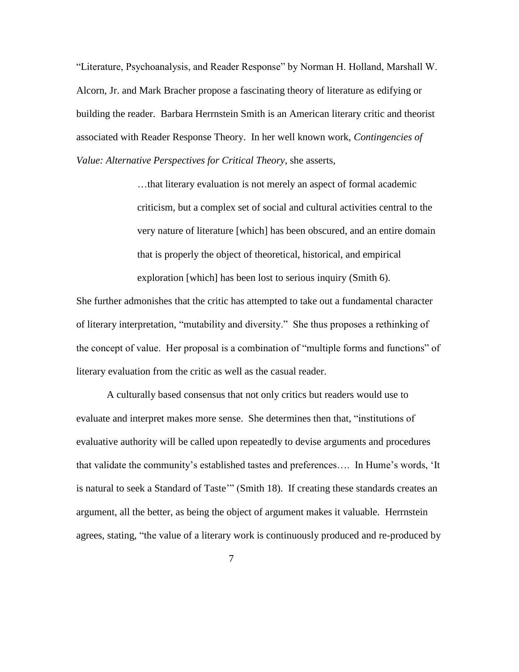"Literature, Psychoanalysis, and Reader Response" by Norman H. Holland, Marshall W. Alcorn, Jr. and Mark Bracher propose a fascinating theory of literature as edifying or building the reader. Barbara Herrnstein Smith is an American literary critic and theorist associated with Reader Response Theory. In her well known work, *Contingencies of Value: Alternative Perspectives for Critical Theory*, she asserts,

> …that literary evaluation is not merely an aspect of formal academic criticism, but a complex set of social and cultural activities central to the very nature of literature [which] has been obscured, and an entire domain that is properly the object of theoretical, historical, and empirical exploration [which] has been lost to serious inquiry (Smith 6).

She further admonishes that the critic has attempted to take out a fundamental character of literary interpretation, "mutability and diversity." She thus proposes a rethinking of the concept of value. Her proposal is a combination of "multiple forms and functions" of literary evaluation from the critic as well as the casual reader.

A culturally based consensus that not only critics but readers would use to evaluate and interpret makes more sense. She determines then that, "institutions of evaluative authority will be called upon repeatedly to devise arguments and procedures that validate the community's established tastes and preferences…. In Hume's words, 'It is natural to seek a Standard of Taste'" (Smith 18). If creating these standards creates an argument, all the better, as being the object of argument makes it valuable. Herrnstein agrees, stating, "the value of a literary work is continuously produced and re-produced by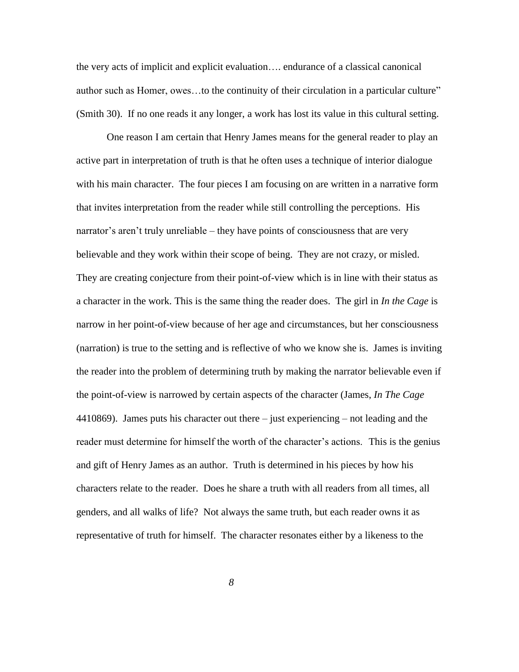the very acts of implicit and explicit evaluation…. endurance of a classical canonical author such as Homer, owes…to the continuity of their circulation in a particular culture" (Smith 30). If no one reads it any longer, a work has lost its value in this cultural setting.

One reason I am certain that Henry James means for the general reader to play an active part in interpretation of truth is that he often uses a technique of interior dialogue with his main character. The four pieces I am focusing on are written in a narrative form that invites interpretation from the reader while still controlling the perceptions. His narrator's aren't truly unreliable – they have points of consciousness that are very believable and they work within their scope of being. They are not crazy, or misled. They are creating conjecture from their point-of-view which is in line with their status as a character in the work. This is the same thing the reader does. The girl in *In the Cage* is narrow in her point-of-view because of her age and circumstances, but her consciousness (narration) is true to the setting and is reflective of who we know she is. James is inviting the reader into the problem of determining truth by making the narrator believable even if the point-of-view is narrowed by certain aspects of the character (James, *In The Cage* 4410869). James puts his character out there – just experiencing – not leading and the reader must determine for himself the worth of the character's actions. This is the genius and gift of Henry James as an author. Truth is determined in his pieces by how his characters relate to the reader. Does he share a truth with all readers from all times, all genders, and all walks of life? Not always the same truth, but each reader owns it as representative of truth for himself. The character resonates either by a likeness to the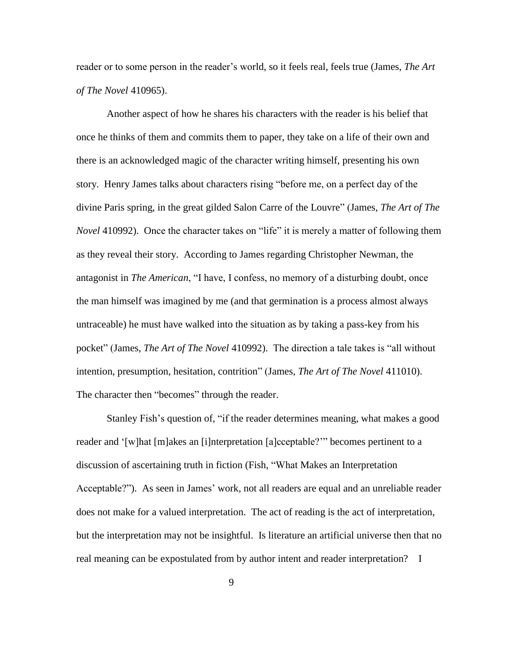reader or to some person in the reader's world, so it feels real, feels true (James, *The Art of The Novel* 410965).

Another aspect of how he shares his characters with the reader is his belief that once he thinks of them and commits them to paper, they take on a life of their own and there is an acknowledged magic of the character writing himself, presenting his own story. Henry James talks about characters rising "before me, on a perfect day of the divine Paris spring, in the great gilded Salon Carre of the Louvre" (James, *The Art of The Novel* 410992). Once the character takes on "life" it is merely a matter of following them as they reveal their story. According to James regarding Christopher Newman, the antagonist in *The American*, "I have, I confess, no memory of a disturbing doubt, once the man himself was imagined by me (and that germination is a process almost always untraceable) he must have walked into the situation as by taking a pass-key from his pocket" (James, *The Art of The Novel* 410992). The direction a tale takes is "all without intention, presumption, hesitation, contrition" (James, *The Art of The Novel* 411010). The character then "becomes" through the reader.

Stanley Fish's question of, "if the reader determines meaning, what makes a good reader and '[w]hat [m]akes an [i]nterpretation [a]cceptable?'" becomes pertinent to a discussion of ascertaining truth in fiction (Fish, "What Makes an Interpretation Acceptable?"). As seen in James' work, not all readers are equal and an unreliable reader does not make for a valued interpretation. The act of reading is the act of interpretation, but the interpretation may not be insightful. Is literature an artificial universe then that no real meaning can be expostulated from by author intent and reader interpretation? I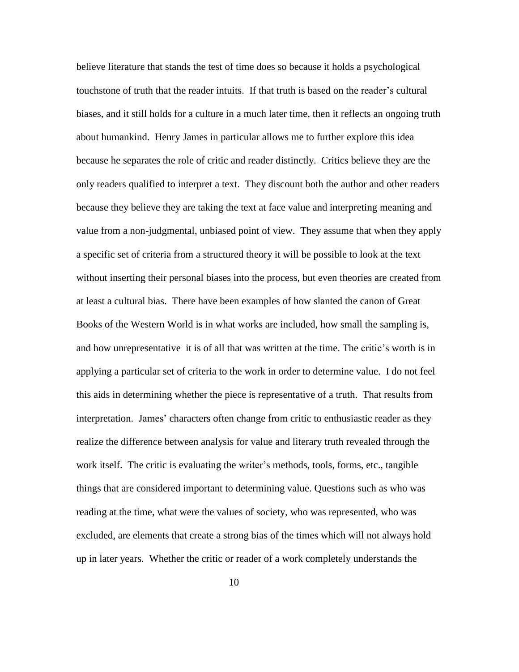believe literature that stands the test of time does so because it holds a psychological touchstone of truth that the reader intuits. If that truth is based on the reader's cultural biases, and it still holds for a culture in a much later time, then it reflects an ongoing truth about humankind. Henry James in particular allows me to further explore this idea because he separates the role of critic and reader distinctly. Critics believe they are the only readers qualified to interpret a text. They discount both the author and other readers because they believe they are taking the text at face value and interpreting meaning and value from a non-judgmental, unbiased point of view. They assume that when they apply a specific set of criteria from a structured theory it will be possible to look at the text without inserting their personal biases into the process, but even theories are created from at least a cultural bias. There have been examples of how slanted the canon of Great Books of the Western World is in what works are included, how small the sampling is, and how unrepresentative it is of all that was written at the time. The critic's worth is in applying a particular set of criteria to the work in order to determine value. I do not feel this aids in determining whether the piece is representative of a truth. That results from interpretation. James' characters often change from critic to enthusiastic reader as they realize the difference between analysis for value and literary truth revealed through the work itself. The critic is evaluating the writer's methods, tools, forms, etc., tangible things that are considered important to determining value. Questions such as who was reading at the time, what were the values of society, who was represented, who was excluded, are elements that create a strong bias of the times which will not always hold up in later years. Whether the critic or reader of a work completely understands the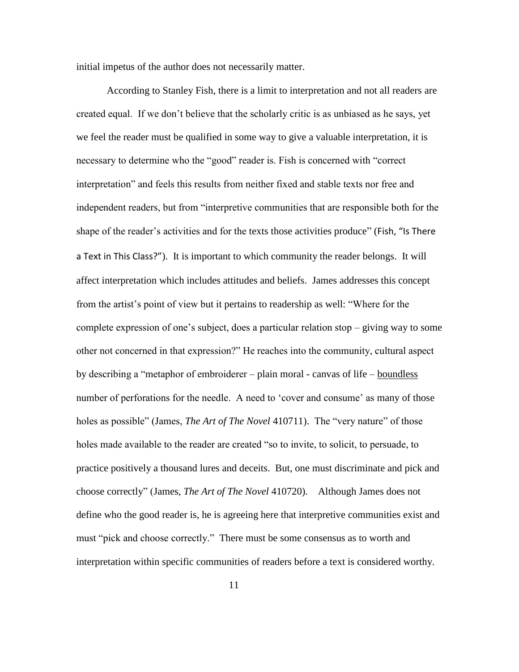initial impetus of the author does not necessarily matter.

According to Stanley Fish, there is a limit to interpretation and not all readers are created equal. If we don't believe that the scholarly critic is as unbiased as he says, yet we feel the reader must be qualified in some way to give a valuable interpretation, it is necessary to determine who the "good" reader is. Fish is concerned with "correct interpretation" and feels this results from neither fixed and stable texts nor free and independent readers, but from "interpretive communities that are responsible both for the shape of the reader's activities and for the texts those activities produce" (Fish, "Is There a Text in This Class?"). It is important to which community the reader belongs. It will affect interpretation which includes attitudes and beliefs. James addresses this concept from the artist's point of view but it pertains to readership as well: "Where for the complete expression of one's subject, does a particular relation stop – giving way to some other not concerned in that expression?" He reaches into the community, cultural aspect by describing a "metaphor of embroiderer – plain moral - canvas of life – boundless number of perforations for the needle. A need to 'cover and consume' as many of those holes as possible" (James, *The Art of The Novel* 410711). The "very nature" of those holes made available to the reader are created "so to invite, to solicit, to persuade, to practice positively a thousand lures and deceits. But, one must discriminate and pick and choose correctly" (James, *The Art of The Novel* 410720). Although James does not define who the good reader is, he is agreeing here that interpretive communities exist and must "pick and choose correctly." There must be some consensus as to worth and interpretation within specific communities of readers before a text is considered worthy.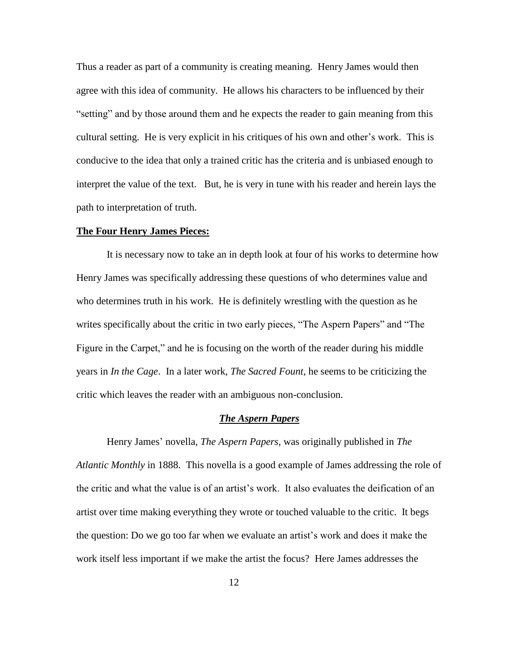Thus a reader as part of a community is creating meaning. Henry James would then agree with this idea of community. He allows his characters to be influenced by their "setting" and by those around them and he expects the reader to gain meaning from this cultural setting. He is very explicit in his critiques of his own and other's work. This is conducive to the idea that only a trained critic has the criteria and is unbiased enough to interpret the value of the text. But, he is very in tune with his reader and herein lays the path to interpretation of truth.

## **The Four Henry James Pieces:**

It is necessary now to take an in depth look at four of his works to determine how Henry James was specifically addressing these questions of who determines value and who determines truth in his work. He is definitely wrestling with the question as he writes specifically about the critic in two early pieces, "The Aspern Papers" and "The Figure in the Carpet," and he is focusing on the worth of the reader during his middle years in *In the Cage*. In a later work, *The Sacred Fount*, he seems to be criticizing the critic which leaves the reader with an ambiguous non-conclusion.

## *The Aspern Papers*

Henry James' novella, *The Aspern Papers*, was originally published in *The Atlantic Monthly* in 1888. This novella is a good example of James addressing the role of the critic and what the value is of an artist's work. It also evaluates the deification of an artist over time making everything they wrote or touched valuable to the critic. It begs the question: Do we go too far when we evaluate an artist's work and does it make the work itself less important if we make the artist the focus? Here James addresses the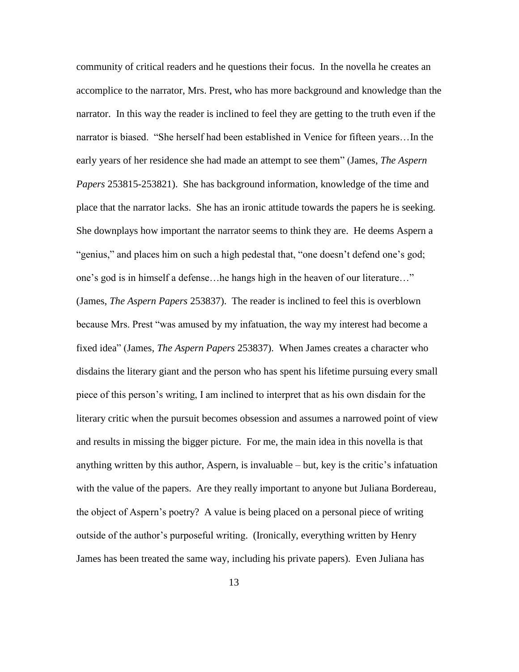community of critical readers and he questions their focus. In the novella he creates an accomplice to the narrator, Mrs. Prest, who has more background and knowledge than the narrator. In this way the reader is inclined to feel they are getting to the truth even if the narrator is biased. "She herself had been established in Venice for fifteen years…In the early years of her residence she had made an attempt to see them" (James, *The Aspern Papers* 253815-253821). She has background information, knowledge of the time and place that the narrator lacks. She has an ironic attitude towards the papers he is seeking. She downplays how important the narrator seems to think they are. He deems Aspern a "genius," and places him on such a high pedestal that, "one doesn't defend one's god; one's god is in himself a defense…he hangs high in the heaven of our literature…" (James, *The Aspern Papers* 253837). The reader is inclined to feel this is overblown because Mrs. Prest "was amused by my infatuation, the way my interest had become a fixed idea" (James, *The Aspern Papers* 253837). When James creates a character who disdains the literary giant and the person who has spent his lifetime pursuing every small piece of this person's writing, I am inclined to interpret that as his own disdain for the literary critic when the pursuit becomes obsession and assumes a narrowed point of view and results in missing the bigger picture. For me, the main idea in this novella is that anything written by this author, Aspern, is invaluable – but, key is the critic's infatuation with the value of the papers. Are they really important to anyone but Juliana Bordereau, the object of Aspern's poetry? A value is being placed on a personal piece of writing outside of the author's purposeful writing. (Ironically, everything written by Henry James has been treated the same way, including his private papers). Even Juliana has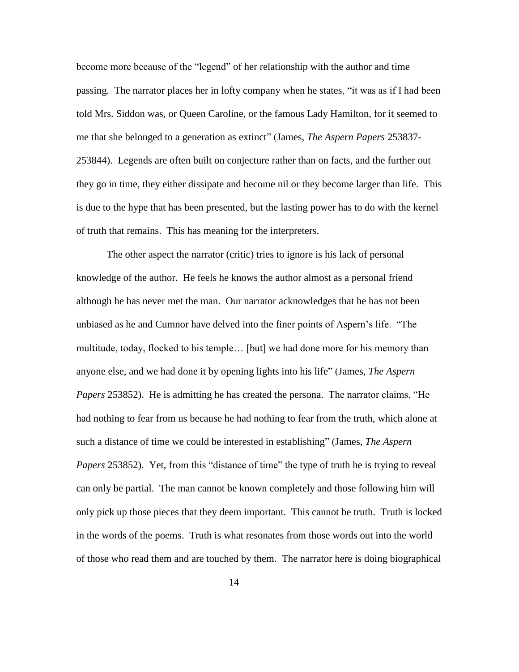become more because of the "legend" of her relationship with the author and time passing. The narrator places her in lofty company when he states, "it was as if I had been told Mrs. Siddon was, or Queen Caroline, or the famous Lady Hamilton, for it seemed to me that she belonged to a generation as extinct" (James, *The Aspern Papers* 253837- 253844). Legends are often built on conjecture rather than on facts, and the further out they go in time, they either dissipate and become nil or they become larger than life. This is due to the hype that has been presented, but the lasting power has to do with the kernel of truth that remains. This has meaning for the interpreters.

The other aspect the narrator (critic) tries to ignore is his lack of personal knowledge of the author. He feels he knows the author almost as a personal friend although he has never met the man. Our narrator acknowledges that he has not been unbiased as he and Cumnor have delved into the finer points of Aspern's life. "The multitude, today, flocked to his temple… [but] we had done more for his memory than anyone else, and we had done it by opening lights into his life" (James, *The Aspern Papers* 253852). He is admitting he has created the persona. The narrator claims, "He had nothing to fear from us because he had nothing to fear from the truth, which alone at such a distance of time we could be interested in establishing" (James, *The Aspern Papers* 253852). Yet, from this "distance of time" the type of truth he is trying to reveal can only be partial. The man cannot be known completely and those following him will only pick up those pieces that they deem important. This cannot be truth. Truth is locked in the words of the poems. Truth is what resonates from those words out into the world of those who read them and are touched by them. The narrator here is doing biographical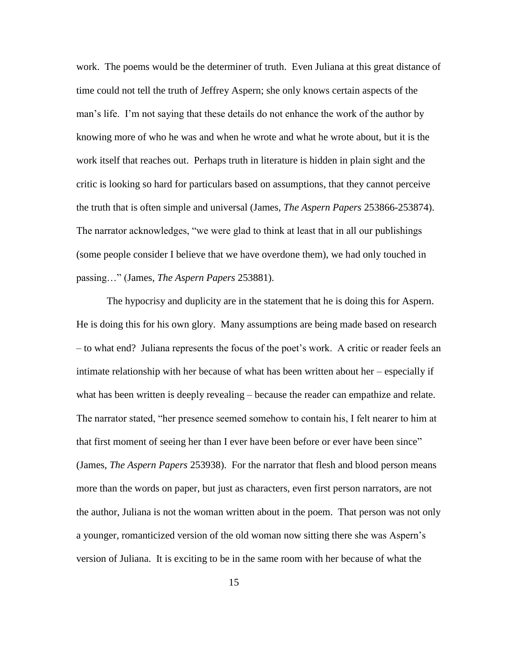work. The poems would be the determiner of truth. Even Juliana at this great distance of time could not tell the truth of Jeffrey Aspern; she only knows certain aspects of the man's life. I'm not saying that these details do not enhance the work of the author by knowing more of who he was and when he wrote and what he wrote about, but it is the work itself that reaches out. Perhaps truth in literature is hidden in plain sight and the critic is looking so hard for particulars based on assumptions, that they cannot perceive the truth that is often simple and universal (James, *The Aspern Papers* 253866-253874). The narrator acknowledges, "we were glad to think at least that in all our publishings (some people consider I believe that we have overdone them), we had only touched in passing…" (James, *The Aspern Papers* 253881).

The hypocrisy and duplicity are in the statement that he is doing this for Aspern. He is doing this for his own glory. Many assumptions are being made based on research – to what end? Juliana represents the focus of the poet's work. A critic or reader feels an intimate relationship with her because of what has been written about her – especially if what has been written is deeply revealing – because the reader can empathize and relate. The narrator stated, "her presence seemed somehow to contain his, I felt nearer to him at that first moment of seeing her than I ever have been before or ever have been since" (James, *The Aspern Papers* 253938). For the narrator that flesh and blood person means more than the words on paper, but just as characters, even first person narrators, are not the author, Juliana is not the woman written about in the poem. That person was not only a younger, romanticized version of the old woman now sitting there she was Aspern's version of Juliana. It is exciting to be in the same room with her because of what the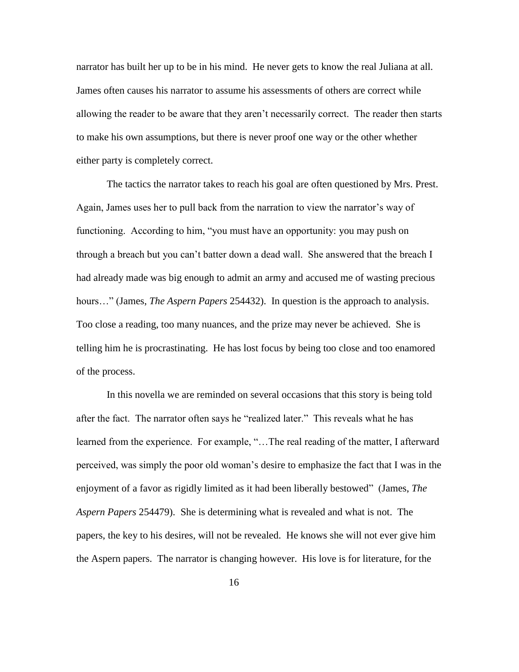narrator has built her up to be in his mind. He never gets to know the real Juliana at all. James often causes his narrator to assume his assessments of others are correct while allowing the reader to be aware that they aren't necessarily correct. The reader then starts to make his own assumptions, but there is never proof one way or the other whether either party is completely correct.

The tactics the narrator takes to reach his goal are often questioned by Mrs. Prest. Again, James uses her to pull back from the narration to view the narrator's way of functioning. According to him, "you must have an opportunity: you may push on through a breach but you can't batter down a dead wall. She answered that the breach I had already made was big enough to admit an army and accused me of wasting precious hours…" (James, *The Aspern Papers* 254432). In question is the approach to analysis. Too close a reading, too many nuances, and the prize may never be achieved. She is telling him he is procrastinating. He has lost focus by being too close and too enamored of the process.

In this novella we are reminded on several occasions that this story is being told after the fact. The narrator often says he "realized later." This reveals what he has learned from the experience. For example, "…The real reading of the matter, I afterward perceived, was simply the poor old woman's desire to emphasize the fact that I was in the enjoyment of a favor as rigidly limited as it had been liberally bestowed" (James, *The Aspern Papers* 254479). She is determining what is revealed and what is not. The papers, the key to his desires, will not be revealed. He knows she will not ever give him the Aspern papers. The narrator is changing however. His love is for literature, for the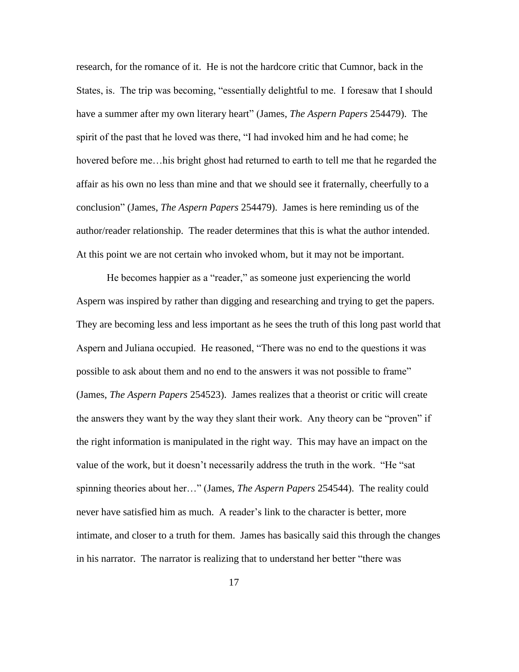research, for the romance of it. He is not the hardcore critic that Cumnor, back in the States, is. The trip was becoming, "essentially delightful to me. I foresaw that I should have a summer after my own literary heart" (James, *The Aspern Papers* 254479). The spirit of the past that he loved was there, "I had invoked him and he had come; he hovered before me…his bright ghost had returned to earth to tell me that he regarded the affair as his own no less than mine and that we should see it fraternally, cheerfully to a conclusion" (James, *The Aspern Papers* 254479). James is here reminding us of the author/reader relationship. The reader determines that this is what the author intended. At this point we are not certain who invoked whom, but it may not be important.

He becomes happier as a "reader," as someone just experiencing the world Aspern was inspired by rather than digging and researching and trying to get the papers. They are becoming less and less important as he sees the truth of this long past world that Aspern and Juliana occupied. He reasoned, "There was no end to the questions it was possible to ask about them and no end to the answers it was not possible to frame" (James, *The Aspern Papers* 254523). James realizes that a theorist or critic will create the answers they want by the way they slant their work. Any theory can be "proven" if the right information is manipulated in the right way. This may have an impact on the value of the work, but it doesn't necessarily address the truth in the work. "He "sat spinning theories about her…" (James, *The Aspern Papers* 254544). The reality could never have satisfied him as much. A reader's link to the character is better, more intimate, and closer to a truth for them. James has basically said this through the changes in his narrator. The narrator is realizing that to understand her better "there was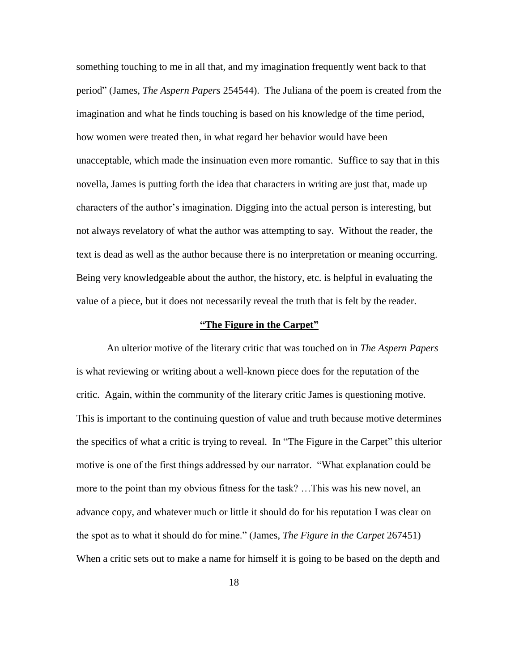something touching to me in all that, and my imagination frequently went back to that period" (James, *The Aspern Papers* 254544). The Juliana of the poem is created from the imagination and what he finds touching is based on his knowledge of the time period, how women were treated then, in what regard her behavior would have been unacceptable, which made the insinuation even more romantic. Suffice to say that in this novella, James is putting forth the idea that characters in writing are just that, made up characters of the author's imagination. Digging into the actual person is interesting, but not always revelatory of what the author was attempting to say. Without the reader, the text is dead as well as the author because there is no interpretation or meaning occurring. Being very knowledgeable about the author, the history, etc. is helpful in evaluating the value of a piece, but it does not necessarily reveal the truth that is felt by the reader.

#### **"The Figure in the Carpet"**

An ulterior motive of the literary critic that was touched on in *The Aspern Papers* is what reviewing or writing about a well-known piece does for the reputation of the critic. Again, within the community of the literary critic James is questioning motive. This is important to the continuing question of value and truth because motive determines the specifics of what a critic is trying to reveal. In "The Figure in the Carpet" this ulterior motive is one of the first things addressed by our narrator. "What explanation could be more to the point than my obvious fitness for the task? …This was his new novel, an advance copy, and whatever much or little it should do for his reputation I was clear on the spot as to what it should do for mine." (James, *The Figure in the Carpet* 267451) When a critic sets out to make a name for himself it is going to be based on the depth and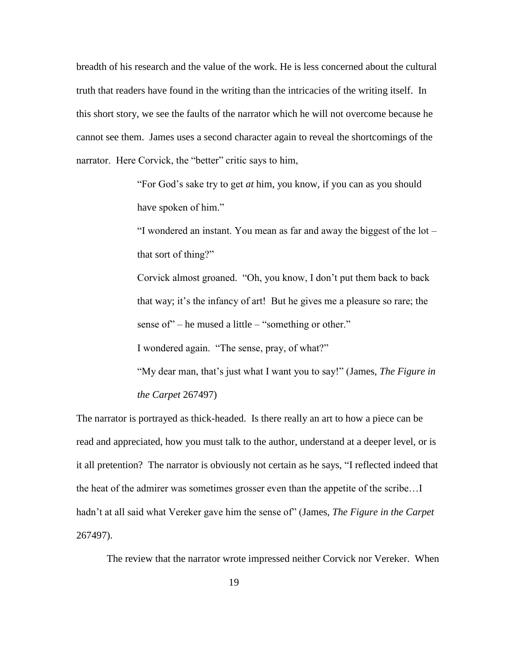breadth of his research and the value of the work. He is less concerned about the cultural truth that readers have found in the writing than the intricacies of the writing itself. In this short story, we see the faults of the narrator which he will not overcome because he cannot see them. James uses a second character again to reveal the shortcomings of the narrator. Here Corvick, the "better" critic says to him,

> "For God's sake try to get *at* him, you know, if you can as you should have spoken of him."

"I wondered an instant. You mean as far and away the biggest of the lot – that sort of thing?"

Corvick almost groaned. "Oh, you know, I don't put them back to back that way; it's the infancy of art! But he gives me a pleasure so rare; the sense of" – he mused a little – "something or other."

I wondered again. "The sense, pray, of what?"

"My dear man, that's just what I want you to say!" (James, *The Figure in the Carpet* 267497)

The narrator is portrayed as thick-headed. Is there really an art to how a piece can be read and appreciated, how you must talk to the author, understand at a deeper level, or is it all pretention? The narrator is obviously not certain as he says, "I reflected indeed that the heat of the admirer was sometimes grosser even than the appetite of the scribe…I hadn't at all said what Vereker gave him the sense of" (James, *The Figure in the Carpet*  267497).

The review that the narrator wrote impressed neither Corvick nor Vereker. When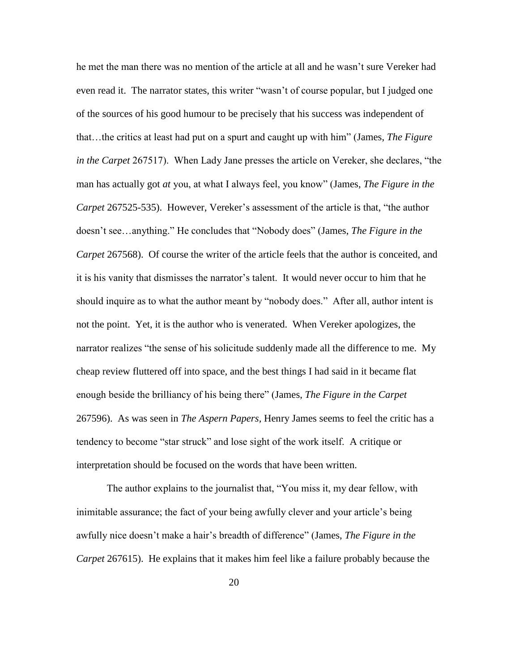he met the man there was no mention of the article at all and he wasn't sure Vereker had even read it. The narrator states, this writer "wasn't of course popular, but I judged one of the sources of his good humour to be precisely that his success was independent of that…the critics at least had put on a spurt and caught up with him" (James, *The Figure in the Carpet* 267517). When Lady Jane presses the article on Vereker, she declares, "the man has actually got *at* you, at what I always feel, you know" (James, *The Figure in the Carpet* 267525-535). However, Vereker's assessment of the article is that, "the author doesn't see…anything." He concludes that "Nobody does" (James, *The Figure in the Carpet* 267568). Of course the writer of the article feels that the author is conceited, and it is his vanity that dismisses the narrator's talent. It would never occur to him that he should inquire as to what the author meant by "nobody does." After all, author intent is not the point. Yet, it is the author who is venerated. When Vereker apologizes, the narrator realizes "the sense of his solicitude suddenly made all the difference to me. My cheap review fluttered off into space, and the best things I had said in it became flat enough beside the brilliancy of his being there" (James, *The Figure in the Carpet*  267596). As was seen in *The Aspern Papers,* Henry James seems to feel the critic has a tendency to become "star struck" and lose sight of the work itself. A critique or interpretation should be focused on the words that have been written.

The author explains to the journalist that, "You miss it, my dear fellow, with inimitable assurance; the fact of your being awfully clever and your article's being awfully nice doesn't make a hair's breadth of difference" (James, *The Figure in the Carpet* 267615). He explains that it makes him feel like a failure probably because the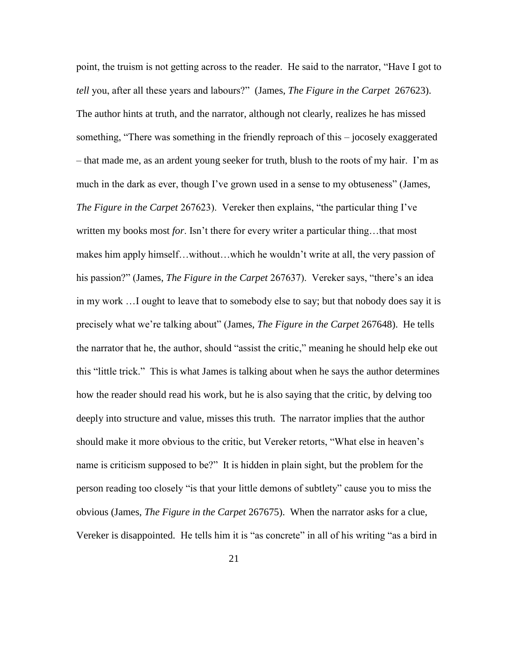point, the truism is not getting across to the reader. He said to the narrator, "Have I got to *tell* you, after all these years and labours?" (James, *The Figure in the Carpet* 267623). The author hints at truth, and the narrator, although not clearly, realizes he has missed something, "There was something in the friendly reproach of this – jocosely exaggerated – that made me, as an ardent young seeker for truth, blush to the roots of my hair. I'm as much in the dark as ever, though I've grown used in a sense to my obtuseness" (James, *The Figure in the Carpet* 267623). Vereker then explains, "the particular thing I've written my books most *for*. Isn't there for every writer a particular thing…that most makes him apply himself…without…which he wouldn't write at all, the very passion of his passion?" (James, *The Figure in the Carpet* 267637). Vereker says, "there's an idea in my work …I ought to leave that to somebody else to say; but that nobody does say it is precisely what we're talking about" (James, *The Figure in the Carpet* 267648). He tells the narrator that he, the author, should "assist the critic," meaning he should help eke out this "little trick." This is what James is talking about when he says the author determines how the reader should read his work, but he is also saying that the critic, by delving too deeply into structure and value, misses this truth. The narrator implies that the author should make it more obvious to the critic, but Vereker retorts, "What else in heaven's name is criticism supposed to be?" It is hidden in plain sight, but the problem for the person reading too closely "is that your little demons of subtlety" cause you to miss the obvious (James, *The Figure in the Carpet* 267675). When the narrator asks for a clue, Vereker is disappointed. He tells him it is "as concrete" in all of his writing "as a bird in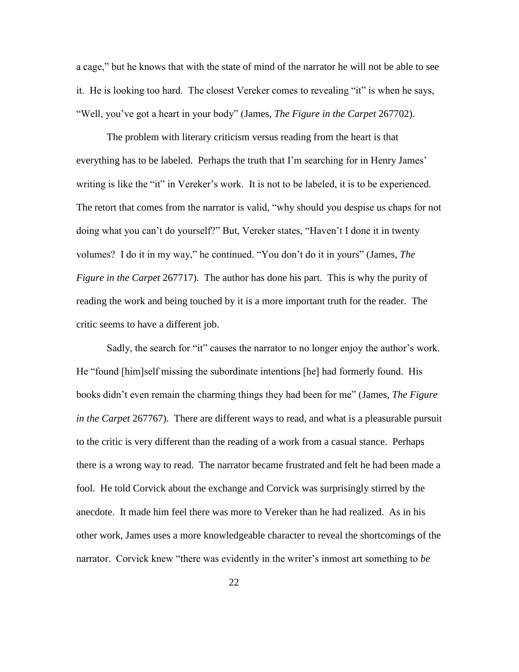a cage," but he knows that with the state of mind of the narrator he will not be able to see it. He is looking too hard. The closest Vereker comes to revealing "it" is when he says, "Well, you've got a heart in your body" (James, *The Figure in the Carpet* 267702).

The problem with literary criticism versus reading from the heart is that everything has to be labeled. Perhaps the truth that I'm searching for in Henry James' writing is like the "it" in Vereker's work. It is not to be labeled, it is to be experienced. The retort that comes from the narrator is valid, "why should you despise us chaps for not doing what you can't do yourself?" But, Vereker states, "Haven't I done it in twenty volumes? I do it in my way," he continued. "You don't do it in yours" (James, *The Figure in the Carpet* 267717). The author has done his part. This is why the purity of reading the work and being touched by it is a more important truth for the reader. The critic seems to have a different job.

Sadly, the search for "it" causes the narrator to no longer enjoy the author's work. He "found [him]self missing the subordinate intentions [he] had formerly found. His books didn't even remain the charming things they had been for me" (James, *The Figure in the Carpet* 267767). There are different ways to read, and what is a pleasurable pursuit to the critic is very different than the reading of a work from a casual stance. Perhaps there is a wrong way to read. The narrator became frustrated and felt he had been made a fool. He told Corvick about the exchange and Corvick was surprisingly stirred by the anecdote. It made him feel there was more to Vereker than he had realized. As in his other work, James uses a more knowledgeable character to reveal the shortcomings of the narrator. Corvick knew "there was evidently in the writer's inmost art something to *be*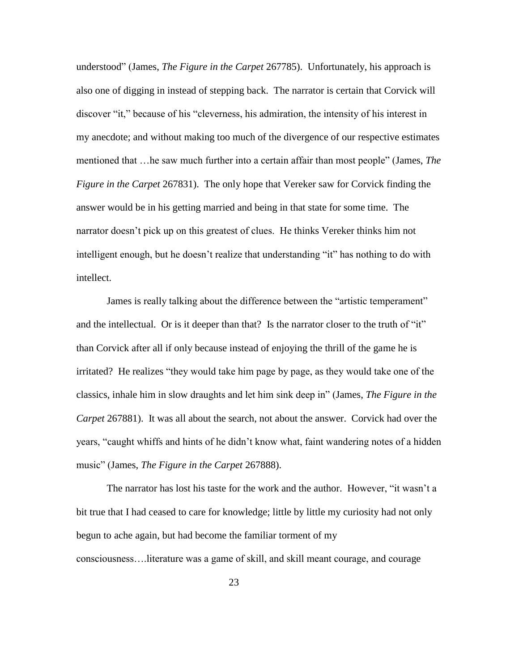understood" (James, *The Figure in the Carpet* 267785). Unfortunately, his approach is also one of digging in instead of stepping back. The narrator is certain that Corvick will discover "it," because of his "cleverness, his admiration, the intensity of his interest in my anecdote; and without making too much of the divergence of our respective estimates mentioned that …he saw much further into a certain affair than most people" (James, *The Figure in the Carpet* 267831). The only hope that Vereker saw for Corvick finding the answer would be in his getting married and being in that state for some time. The narrator doesn't pick up on this greatest of clues. He thinks Vereker thinks him not intelligent enough, but he doesn't realize that understanding "it" has nothing to do with intellect.

James is really talking about the difference between the "artistic temperament" and the intellectual. Or is it deeper than that? Is the narrator closer to the truth of "it" than Corvick after all if only because instead of enjoying the thrill of the game he is irritated? He realizes "they would take him page by page, as they would take one of the classics, inhale him in slow draughts and let him sink deep in" (James, *The Figure in the Carpet* 267881). It was all about the search, not about the answer. Corvick had over the years, "caught whiffs and hints of he didn't know what, faint wandering notes of a hidden music" (James, *The Figure in the Carpet* 267888).

The narrator has lost his taste for the work and the author. However, "it wasn't a bit true that I had ceased to care for knowledge; little by little my curiosity had not only begun to ache again, but had become the familiar torment of my consciousness….literature was a game of skill, and skill meant courage, and courage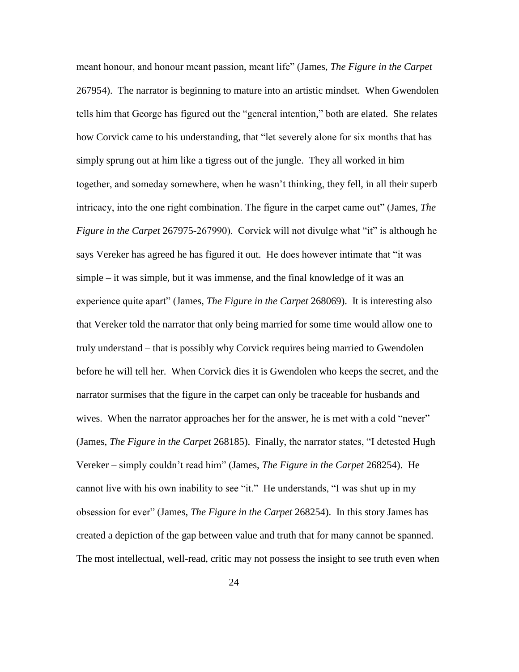meant honour, and honour meant passion, meant life" (James, *The Figure in the Carpet*  267954). The narrator is beginning to mature into an artistic mindset. When Gwendolen tells him that George has figured out the "general intention," both are elated. She relates how Corvick came to his understanding, that "let severely alone for six months that has simply sprung out at him like a tigress out of the jungle. They all worked in him together, and someday somewhere, when he wasn't thinking, they fell, in all their superb intricacy, into the one right combination. The figure in the carpet came out" (James, *The Figure in the Carpet* 267975-267990). Corvick will not divulge what "it" is although he says Vereker has agreed he has figured it out. He does however intimate that "it was simple – it was simple, but it was immense, and the final knowledge of it was an experience quite apart" (James, *The Figure in the Carpet* 268069). It is interesting also that Vereker told the narrator that only being married for some time would allow one to truly understand – that is possibly why Corvick requires being married to Gwendolen before he will tell her. When Corvick dies it is Gwendolen who keeps the secret, and the narrator surmises that the figure in the carpet can only be traceable for husbands and wives. When the narrator approaches her for the answer, he is met with a cold "never" (James, *The Figure in the Carpet* 268185). Finally, the narrator states, "I detested Hugh Vereker – simply couldn't read him" (James, *The Figure in the Carpet* 268254). He cannot live with his own inability to see "it." He understands, "I was shut up in my obsession for ever" (James, *The Figure in the Carpet* 268254). In this story James has created a depiction of the gap between value and truth that for many cannot be spanned. The most intellectual, well-read, critic may not possess the insight to see truth even when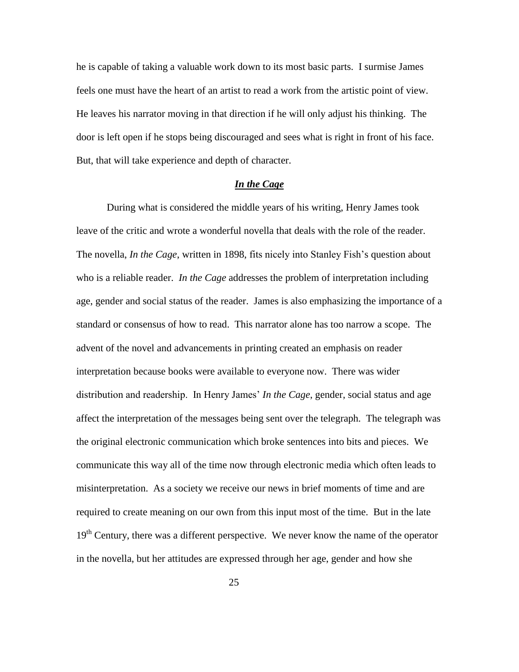he is capable of taking a valuable work down to its most basic parts. I surmise James feels one must have the heart of an artist to read a work from the artistic point of view. He leaves his narrator moving in that direction if he will only adjust his thinking. The door is left open if he stops being discouraged and sees what is right in front of his face. But, that will take experience and depth of character.

## *In the Cage*

During what is considered the middle years of his writing, Henry James took leave of the critic and wrote a wonderful novella that deals with the role of the reader. The novella, *In the Cage*, written in 1898, fits nicely into Stanley Fish's question about who is a reliable reader. *In the Cage* addresses the problem of interpretation including age, gender and social status of the reader. James is also emphasizing the importance of a standard or consensus of how to read. This narrator alone has too narrow a scope. The advent of the novel and advancements in printing created an emphasis on reader interpretation because books were available to everyone now. There was wider distribution and readership. In Henry James' *In the Cage*, gender, social status and age affect the interpretation of the messages being sent over the telegraph. The telegraph was the original electronic communication which broke sentences into bits and pieces. We communicate this way all of the time now through electronic media which often leads to misinterpretation. As a society we receive our news in brief moments of time and are required to create meaning on our own from this input most of the time. But in the late  $19<sup>th</sup>$  Century, there was a different perspective. We never know the name of the operator in the novella, but her attitudes are expressed through her age, gender and how she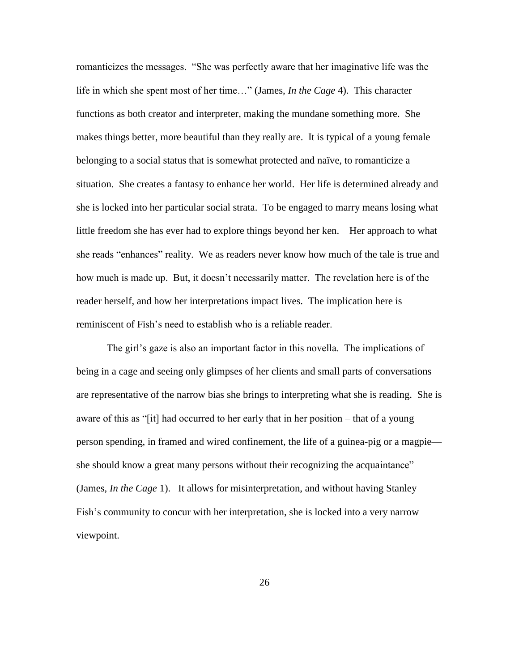romanticizes the messages. "She was perfectly aware that her imaginative life was the life in which she spent most of her time…" (James, *In the Cage* 4). This character functions as both creator and interpreter, making the mundane something more. She makes things better, more beautiful than they really are. It is typical of a young female belonging to a social status that is somewhat protected and naïve, to romanticize a situation. She creates a fantasy to enhance her world. Her life is determined already and she is locked into her particular social strata. To be engaged to marry means losing what little freedom she has ever had to explore things beyond her ken. Her approach to what she reads "enhances" reality. We as readers never know how much of the tale is true and how much is made up. But, it doesn't necessarily matter. The revelation here is of the reader herself, and how her interpretations impact lives. The implication here is reminiscent of Fish's need to establish who is a reliable reader.

The girl's gaze is also an important factor in this novella. The implications of being in a cage and seeing only glimpses of her clients and small parts of conversations are representative of the narrow bias she brings to interpreting what she is reading. She is aware of this as "[it] had occurred to her early that in her position – that of a young person spending, in framed and wired confinement, the life of a guinea-pig or a magpie she should know a great many persons without their recognizing the acquaintance" (James, *In the Cage* 1). It allows for misinterpretation, and without having Stanley Fish's community to concur with her interpretation, she is locked into a very narrow viewpoint.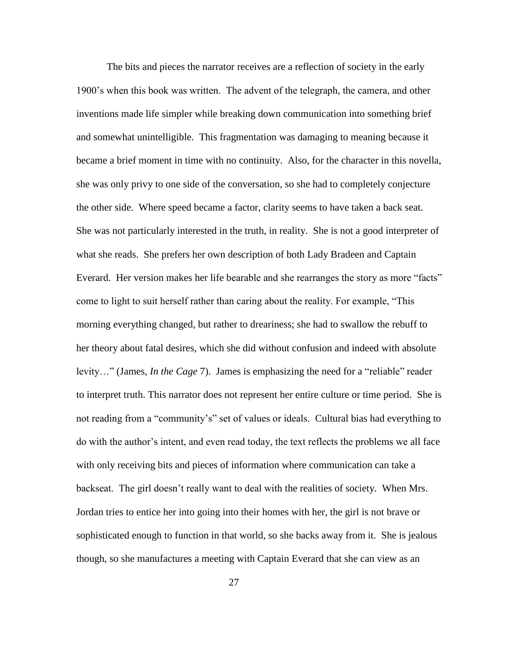The bits and pieces the narrator receives are a reflection of society in the early 1900's when this book was written. The advent of the telegraph, the camera, and other inventions made life simpler while breaking down communication into something brief and somewhat unintelligible. This fragmentation was damaging to meaning because it became a brief moment in time with no continuity. Also, for the character in this novella, she was only privy to one side of the conversation, so she had to completely conjecture the other side. Where speed became a factor, clarity seems to have taken a back seat. She was not particularly interested in the truth, in reality. She is not a good interpreter of what she reads. She prefers her own description of both Lady Bradeen and Captain Everard. Her version makes her life bearable and she rearranges the story as more "facts" come to light to suit herself rather than caring about the reality. For example, "This morning everything changed, but rather to dreariness; she had to swallow the rebuff to her theory about fatal desires, which she did without confusion and indeed with absolute levity…" (James, *In the Cage* 7). James is emphasizing the need for a "reliable" reader to interpret truth. This narrator does not represent her entire culture or time period. She is not reading from a "community's" set of values or ideals. Cultural bias had everything to do with the author's intent, and even read today, the text reflects the problems we all face with only receiving bits and pieces of information where communication can take a backseat. The girl doesn't really want to deal with the realities of society. When Mrs. Jordan tries to entice her into going into their homes with her, the girl is not brave or sophisticated enough to function in that world, so she backs away from it. She is jealous though, so she manufactures a meeting with Captain Everard that she can view as an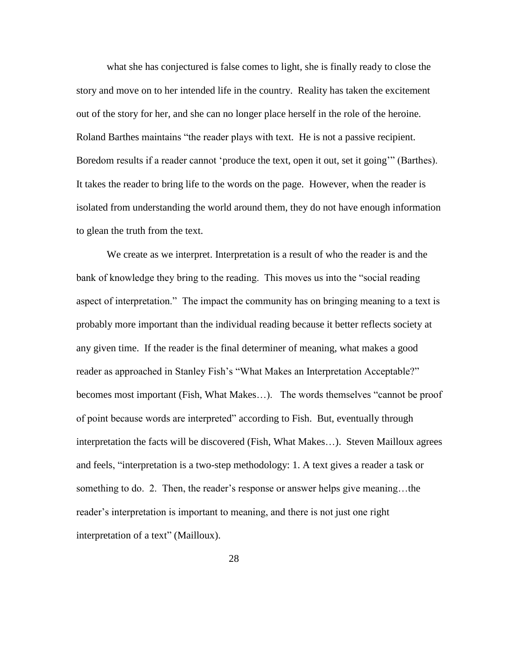what she has conjectured is false comes to light, she is finally ready to close the story and move on to her intended life in the country. Reality has taken the excitement out of the story for her, and she can no longer place herself in the role of the heroine. Roland Barthes maintains "the reader plays with text. He is not a passive recipient. Boredom results if a reader cannot 'produce the text, open it out, set it going'" (Barthes). It takes the reader to bring life to the words on the page. However, when the reader is isolated from understanding the world around them, they do not have enough information to glean the truth from the text.

We create as we interpret. Interpretation is a result of who the reader is and the bank of knowledge they bring to the reading. This moves us into the "social reading aspect of interpretation." The impact the community has on bringing meaning to a text is probably more important than the individual reading because it better reflects society at any given time. If the reader is the final determiner of meaning, what makes a good reader as approached in Stanley Fish's "What Makes an Interpretation Acceptable?" becomes most important (Fish, What Makes…). The words themselves "cannot be proof of point because words are interpreted" according to Fish. But, eventually through interpretation the facts will be discovered (Fish, What Makes…). Steven Mailloux agrees and feels, "interpretation is a two-step methodology: 1. A text gives a reader a task or something to do. 2. Then, the reader's response or answer helps give meaning...the reader's interpretation is important to meaning, and there is not just one right interpretation of a text" (Mailloux).

28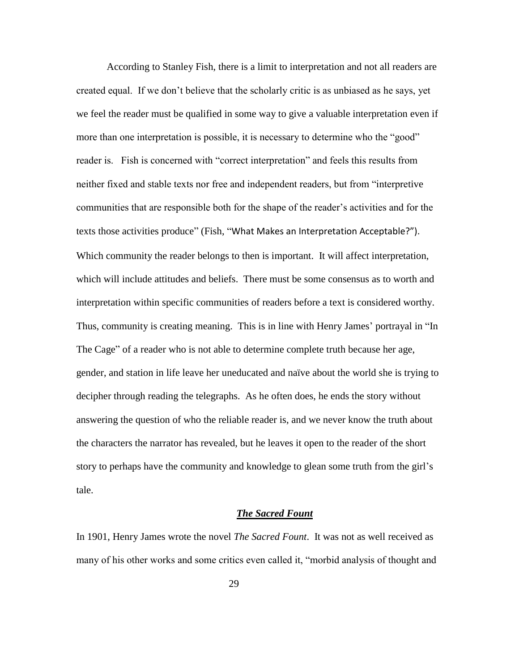According to Stanley Fish, there is a limit to interpretation and not all readers are created equal. If we don't believe that the scholarly critic is as unbiased as he says, yet we feel the reader must be qualified in some way to give a valuable interpretation even if more than one interpretation is possible, it is necessary to determine who the "good" reader is. Fish is concerned with "correct interpretation" and feels this results from neither fixed and stable texts nor free and independent readers, but from "interpretive communities that are responsible both for the shape of the reader's activities and for the texts those activities produce" (Fish, "What Makes an Interpretation Acceptable?"). Which community the reader belongs to then is important. It will affect interpretation, which will include attitudes and beliefs. There must be some consensus as to worth and interpretation within specific communities of readers before a text is considered worthy. Thus, community is creating meaning. This is in line with Henry James' portrayal in "In The Cage" of a reader who is not able to determine complete truth because her age, gender, and station in life leave her uneducated and naïve about the world she is trying to decipher through reading the telegraphs. As he often does, he ends the story without answering the question of who the reliable reader is, and we never know the truth about the characters the narrator has revealed, but he leaves it open to the reader of the short story to perhaps have the community and knowledge to glean some truth from the girl's tale.

# *The Sacred Fount*

In 1901, Henry James wrote the novel *The Sacred Fount*. It was not as well received as many of his other works and some critics even called it, "morbid analysis of thought and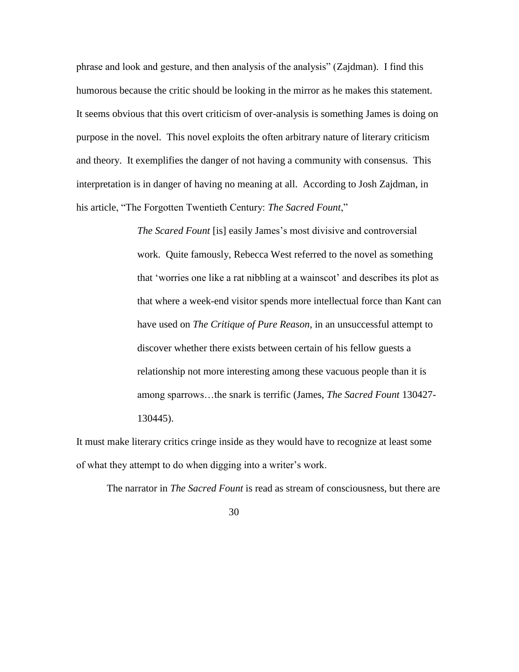phrase and look and gesture, and then analysis of the analysis" (Zajdman). I find this humorous because the critic should be looking in the mirror as he makes this statement. It seems obvious that this overt criticism of over-analysis is something James is doing on purpose in the novel. This novel exploits the often arbitrary nature of literary criticism and theory. It exemplifies the danger of not having a community with consensus. This interpretation is in danger of having no meaning at all. According to Josh Zajdman, in his article, "The Forgotten Twentieth Century: *The Sacred Fount*,"

> *The Scared Fount* [is] easily James's most divisive and controversial work. Quite famously, Rebecca West referred to the novel as something that 'worries one like a rat nibbling at a wainscot' and describes its plot as that where a week-end visitor spends more intellectual force than Kant can have used on *The Critique of Pure Reason*, in an unsuccessful attempt to discover whether there exists between certain of his fellow guests a relationship not more interesting among these vacuous people than it is among sparrows…the snark is terrific (James, *The Sacred Fount* 130427- 130445).

It must make literary critics cringe inside as they would have to recognize at least some of what they attempt to do when digging into a writer's work.

The narrator in *The Sacred Fount* is read as stream of consciousness, but there are

30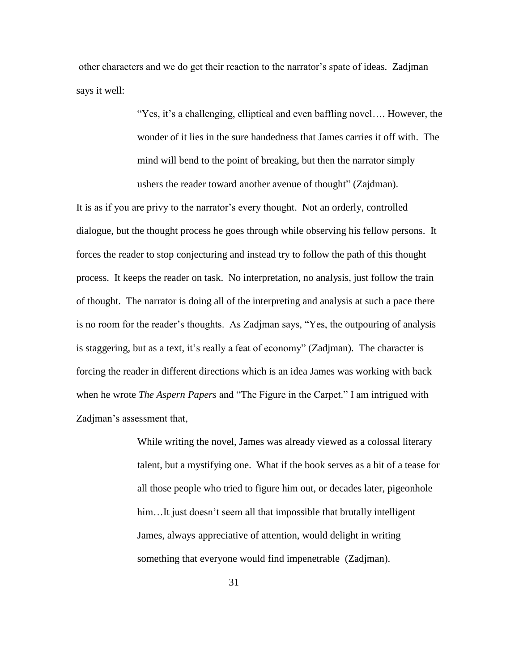other characters and we do get their reaction to the narrator's spate of ideas. Zadjman says it well:

> "Yes, it's a challenging, elliptical and even baffling novel…. However, the wonder of it lies in the sure handedness that James carries it off with. The mind will bend to the point of breaking, but then the narrator simply ushers the reader toward another avenue of thought" (Zajdman).

It is as if you are privy to the narrator's every thought. Not an orderly, controlled dialogue, but the thought process he goes through while observing his fellow persons. It forces the reader to stop conjecturing and instead try to follow the path of this thought process. It keeps the reader on task. No interpretation, no analysis, just follow the train of thought. The narrator is doing all of the interpreting and analysis at such a pace there is no room for the reader's thoughts. As Zadjman says, "Yes, the outpouring of analysis is staggering, but as a text, it's really a feat of economy" (Zadjman). The character is forcing the reader in different directions which is an idea James was working with back when he wrote *The Aspern Papers* and "The Figure in the Carpet." I am intrigued with Zadjman's assessment that,

> While writing the novel, James was already viewed as a colossal literary talent, but a mystifying one. What if the book serves as a bit of a tease for all those people who tried to figure him out, or decades later, pigeonhole him...It just doesn't seem all that impossible that brutally intelligent James, always appreciative of attention, would delight in writing something that everyone would find impenetrable (Zadjman).

> > 31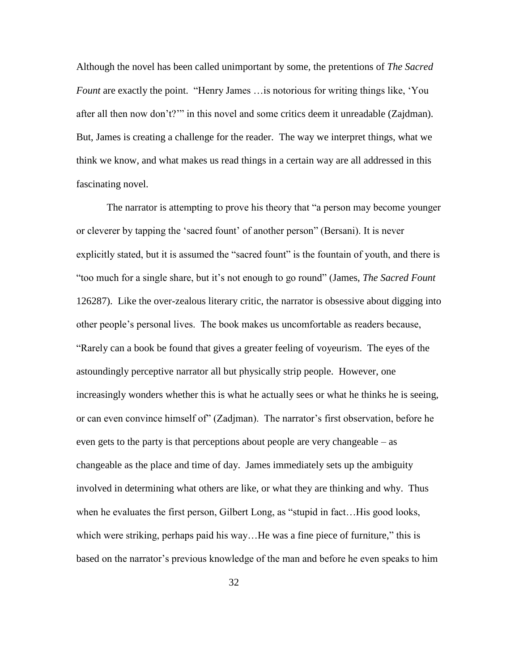Although the novel has been called unimportant by some, the pretentions of *The Sacred Fount* are exactly the point. "Henry James …is notorious for writing things like, 'You after all then now don't?'" in this novel and some critics deem it unreadable (Zajdman). But, James is creating a challenge for the reader. The way we interpret things, what we think we know, and what makes us read things in a certain way are all addressed in this fascinating novel.

The narrator is attempting to prove his theory that "a person may become younger or cleverer by tapping the 'sacred fount' of another person" (Bersani). It is never explicitly stated, but it is assumed the "sacred fount" is the fountain of youth, and there is "too much for a single share, but it's not enough to go round" (James, *The Sacred Fount* 126287). Like the over-zealous literary critic, the narrator is obsessive about digging into other people's personal lives. The book makes us uncomfortable as readers because, "Rarely can a book be found that gives a greater feeling of voyeurism. The eyes of the astoundingly perceptive narrator all but physically strip people. However, one increasingly wonders whether this is what he actually sees or what he thinks he is seeing, or can even convince himself of" (Zadjman). The narrator's first observation, before he even gets to the party is that perceptions about people are very changeable – as changeable as the place and time of day. James immediately sets up the ambiguity involved in determining what others are like, or what they are thinking and why. Thus when he evaluates the first person, Gilbert Long, as "stupid in fact…His good looks, which were striking, perhaps paid his way...He was a fine piece of furniture," this is based on the narrator's previous knowledge of the man and before he even speaks to him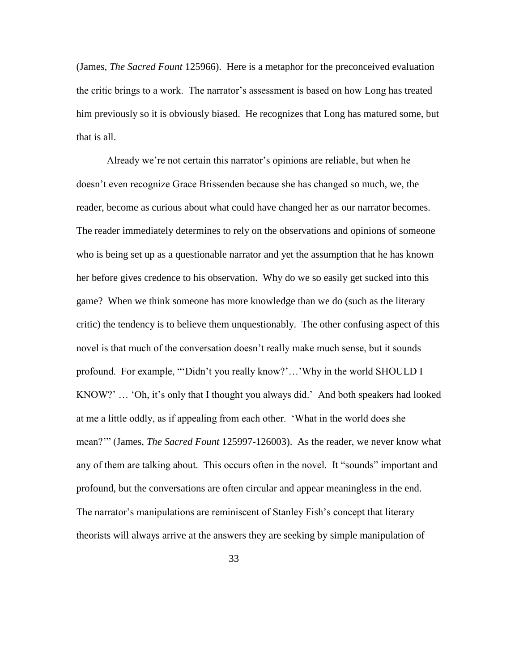(James, *The Sacred Fount* 125966). Here is a metaphor for the preconceived evaluation the critic brings to a work. The narrator's assessment is based on how Long has treated him previously so it is obviously biased. He recognizes that Long has matured some, but that is all.

Already we're not certain this narrator's opinions are reliable, but when he doesn't even recognize Grace Brissenden because she has changed so much, we, the reader, become as curious about what could have changed her as our narrator becomes. The reader immediately determines to rely on the observations and opinions of someone who is being set up as a questionable narrator and yet the assumption that he has known her before gives credence to his observation. Why do we so easily get sucked into this game? When we think someone has more knowledge than we do (such as the literary critic) the tendency is to believe them unquestionably. The other confusing aspect of this novel is that much of the conversation doesn't really make much sense, but it sounds profound. For example, "'Didn't you really know?'…'Why in the world SHOULD I KNOW?' … 'Oh, it's only that I thought you always did.' And both speakers had looked at me a little oddly, as if appealing from each other. 'What in the world does she mean?'" (James, *The Sacred Fount* 125997-126003). As the reader, we never know what any of them are talking about. This occurs often in the novel. It "sounds" important and profound, but the conversations are often circular and appear meaningless in the end. The narrator's manipulations are reminiscent of Stanley Fish's concept that literary theorists will always arrive at the answers they are seeking by simple manipulation of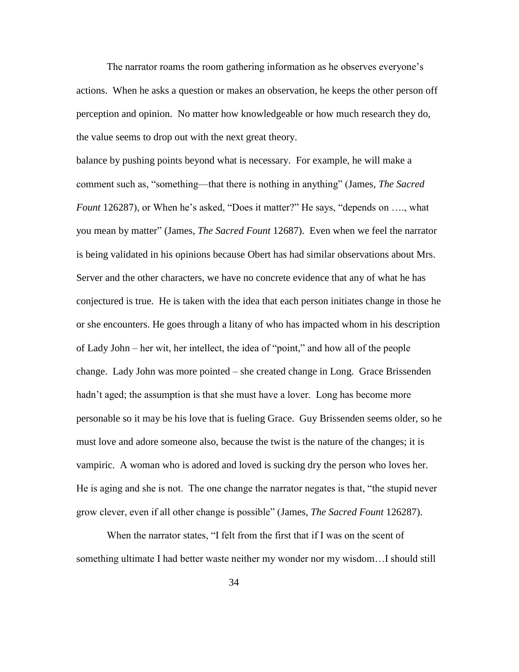The narrator roams the room gathering information as he observes everyone's actions. When he asks a question or makes an observation, he keeps the other person off perception and opinion. No matter how knowledgeable or how much research they do, the value seems to drop out with the next great theory.

balance by pushing points beyond what is necessary. For example, he will make a comment such as, "something—that there is nothing in anything" (James, *The Sacred Fount* 126287), or When he's asked, "Does it matter?" He says, "depends on …., what you mean by matter" (James, *The Sacred Fount* 12687). Even when we feel the narrator is being validated in his opinions because Obert has had similar observations about Mrs. Server and the other characters, we have no concrete evidence that any of what he has conjectured is true. He is taken with the idea that each person initiates change in those he or she encounters. He goes through a litany of who has impacted whom in his description of Lady John – her wit, her intellect, the idea of "point," and how all of the people change. Lady John was more pointed – she created change in Long. Grace Brissenden hadn't aged; the assumption is that she must have a lover. Long has become more personable so it may be his love that is fueling Grace. Guy Brissenden seems older, so he must love and adore someone also, because the twist is the nature of the changes; it is vampiric. A woman who is adored and loved is sucking dry the person who loves her. He is aging and she is not. The one change the narrator negates is that, "the stupid never grow clever, even if all other change is possible" (James, *The Sacred Fount* 126287).

When the narrator states, "I felt from the first that if I was on the scent of something ultimate I had better waste neither my wonder nor my wisdom…I should still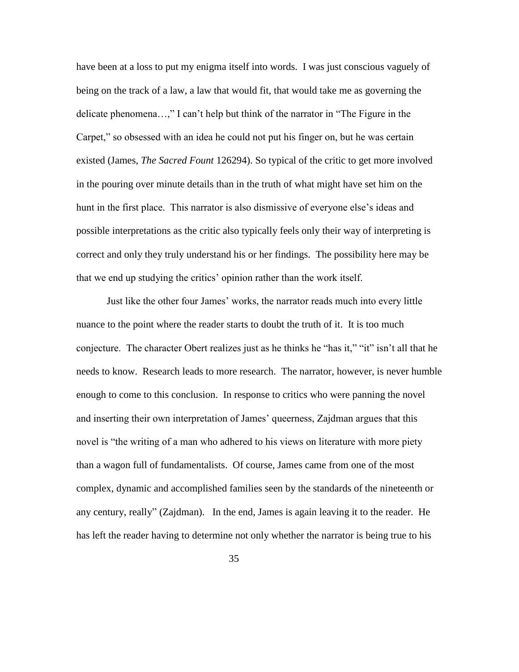have been at a loss to put my enigma itself into words. I was just conscious vaguely of being on the track of a law, a law that would fit, that would take me as governing the delicate phenomena…," I can't help but think of the narrator in "The Figure in the Carpet," so obsessed with an idea he could not put his finger on, but he was certain existed (James, *The Sacred Fount* 126294). So typical of the critic to get more involved in the pouring over minute details than in the truth of what might have set him on the hunt in the first place. This narrator is also dismissive of everyone else's ideas and possible interpretations as the critic also typically feels only their way of interpreting is correct and only they truly understand his or her findings. The possibility here may be that we end up studying the critics' opinion rather than the work itself.

Just like the other four James' works, the narrator reads much into every little nuance to the point where the reader starts to doubt the truth of it. It is too much conjecture. The character Obert realizes just as he thinks he "has it," "it" isn't all that he needs to know. Research leads to more research. The narrator, however, is never humble enough to come to this conclusion. In response to critics who were panning the novel and inserting their own interpretation of James' queerness, Zajdman argues that this novel is "the writing of a man who adhered to his views on literature with more piety than a wagon full of fundamentalists. Of course, James came from one of the most complex, dynamic and accomplished families seen by the standards of the nineteenth or any century, really" (Zajdman). In the end, James is again leaving it to the reader. He has left the reader having to determine not only whether the narrator is being true to his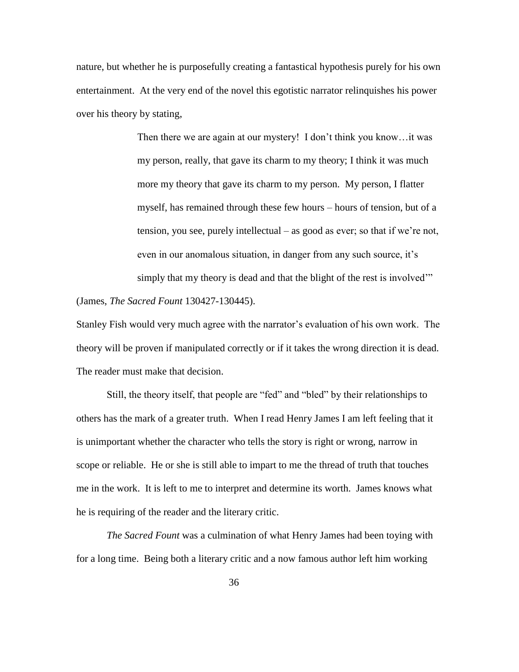nature, but whether he is purposefully creating a fantastical hypothesis purely for his own entertainment. At the very end of the novel this egotistic narrator relinquishes his power over his theory by stating,

> Then there we are again at our mystery! I don't think you know…it was my person, really, that gave its charm to my theory; I think it was much more my theory that gave its charm to my person. My person, I flatter myself, has remained through these few hours – hours of tension, but of a tension, you see, purely intellectual – as good as ever; so that if we're not, even in our anomalous situation, in danger from any such source, it's simply that my theory is dead and that the blight of the rest is involved<sup>"</sup>

### (James, *The Sacred Fount* 130427-130445).

Stanley Fish would very much agree with the narrator's evaluation of his own work. The theory will be proven if manipulated correctly or if it takes the wrong direction it is dead. The reader must make that decision.

Still, the theory itself, that people are "fed" and "bled" by their relationships to others has the mark of a greater truth. When I read Henry James I am left feeling that it is unimportant whether the character who tells the story is right or wrong, narrow in scope or reliable. He or she is still able to impart to me the thread of truth that touches me in the work. It is left to me to interpret and determine its worth. James knows what he is requiring of the reader and the literary critic.

*The Sacred Fount* was a culmination of what Henry James had been toying with for a long time. Being both a literary critic and a now famous author left him working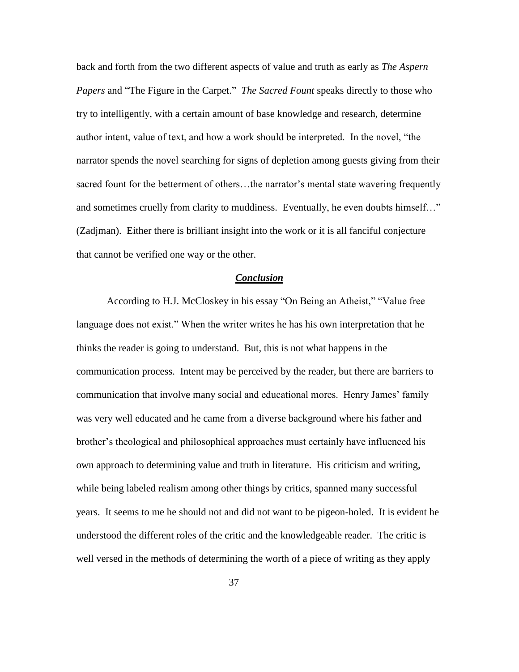back and forth from the two different aspects of value and truth as early as *The Aspern Papers* and "The Figure in the Carpet." *The Sacred Fount* speaks directly to those who try to intelligently, with a certain amount of base knowledge and research, determine author intent, value of text, and how a work should be interpreted. In the novel, "the narrator spends the novel searching for signs of depletion among guests giving from their sacred fount for the betterment of others…the narrator's mental state wavering frequently and sometimes cruelly from clarity to muddiness. Eventually, he even doubts himself…" (Zadjman). Either there is brilliant insight into the work or it is all fanciful conjecture that cannot be verified one way or the other.

## *Conclusion*

According to H.J. McCloskey in his essay "On Being an Atheist," "Value free language does not exist." When the writer writes he has his own interpretation that he thinks the reader is going to understand. But, this is not what happens in the communication process. Intent may be perceived by the reader, but there are barriers to communication that involve many social and educational mores. Henry James' family was very well educated and he came from a diverse background where his father and brother's theological and philosophical approaches must certainly have influenced his own approach to determining value and truth in literature. His criticism and writing, while being labeled realism among other things by critics, spanned many successful years. It seems to me he should not and did not want to be pigeon-holed. It is evident he understood the different roles of the critic and the knowledgeable reader. The critic is well versed in the methods of determining the worth of a piece of writing as they apply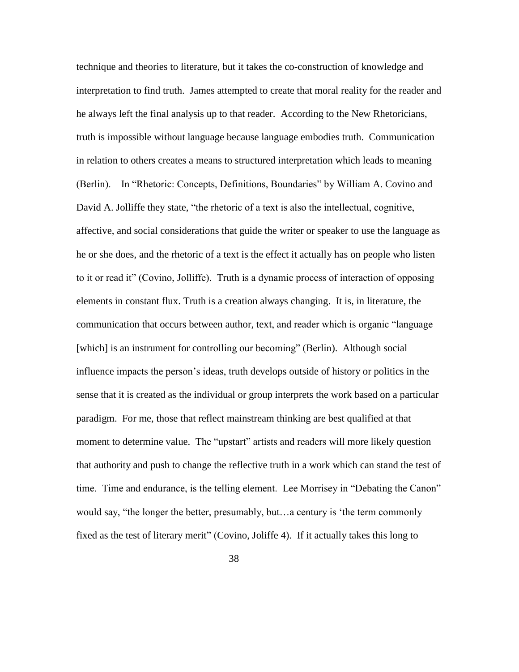technique and theories to literature, but it takes the co-construction of knowledge and interpretation to find truth. James attempted to create that moral reality for the reader and he always left the final analysis up to that reader. According to the New Rhetoricians, truth is impossible without language because language embodies truth. Communication in relation to others creates a means to structured interpretation which leads to meaning (Berlin). In "Rhetoric: Concepts, Definitions, Boundaries" by William A. Covino and David A. Jolliffe they state, "the rhetoric of a text is also the intellectual, cognitive, affective, and social considerations that guide the writer or speaker to use the language as he or she does, and the rhetoric of a text is the effect it actually has on people who listen to it or read it" (Covino, Jolliffe). Truth is a dynamic process of interaction of opposing elements in constant flux. Truth is a creation always changing. It is, in literature, the communication that occurs between author, text, and reader which is organic "language [which] is an instrument for controlling our becoming" (Berlin). Although social influence impacts the person's ideas, truth develops outside of history or politics in the sense that it is created as the individual or group interprets the work based on a particular paradigm. For me, those that reflect mainstream thinking are best qualified at that moment to determine value. The "upstart" artists and readers will more likely question that authority and push to change the reflective truth in a work which can stand the test of time. Time and endurance, is the telling element. Lee Morrisey in "Debating the Canon" would say, "the longer the better, presumably, but…a century is 'the term commonly fixed as the test of literary merit" (Covino, Joliffe 4). If it actually takes this long to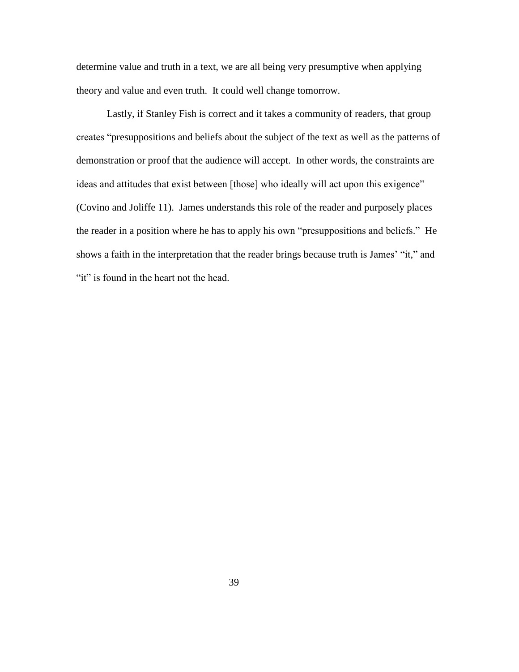determine value and truth in a text, we are all being very presumptive when applying theory and value and even truth. It could well change tomorrow.

Lastly, if Stanley Fish is correct and it takes a community of readers, that group creates "presuppositions and beliefs about the subject of the text as well as the patterns of demonstration or proof that the audience will accept. In other words, the constraints are ideas and attitudes that exist between [those] who ideally will act upon this exigence" (Covino and Joliffe 11). James understands this role of the reader and purposely places the reader in a position where he has to apply his own "presuppositions and beliefs." He shows a faith in the interpretation that the reader brings because truth is James' "it," and "it" is found in the heart not the head.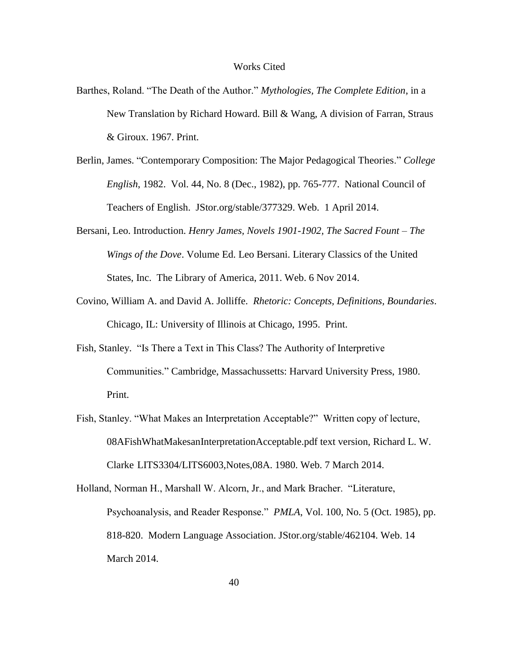#### Works Cited

- Barthes, Roland. "The Death of the Author." *Mythologies, The Complete Edition*, in a New Translation by Richard Howard. Bill & Wang, A division of Farran, Straus & Giroux. 1967. Print.
- Berlin, James. "Contemporary Composition: The Major Pedagogical Theories." *College English*, 1982. Vol. 44, No. 8 (Dec., 1982), pp. 765-777. National Council of Teachers of English. JStor.org/stable/377329. Web. 1 April 2014.
- Bersani, Leo. Introduction. *Henry James, Novels 1901-1902, The Sacred Fount – The Wings of the Dove*. Volume Ed. Leo Bersani. Literary Classics of the United States, Inc. The Library of America, 2011. Web. 6 Nov 2014.
- Covino, William A. and David A. Jolliffe. *Rhetoric: Concepts, Definitions, Boundaries*. Chicago, IL: University of Illinois at Chicago, 1995. Print.
- Fish, Stanley. "Is There a Text in This Class? The Authority of Interpretive Communities." Cambridge, Massachussetts: Harvard University Press, 1980. Print.
- Fish, Stanley. "What Makes an Interpretation Acceptable?" Written copy of lecture, 08AFishWhatMakesanInterpretationAcceptable.pdf text version, Richard L. W. Clarke LITS3304/LITS6003,Notes,08A. 1980. Web. 7 March 2014.

Holland, Norman H., Marshall W. Alcorn, Jr., and Mark Bracher. "Literature, Psychoanalysis, and Reader Response." *PMLA*, Vol. 100, No. 5 (Oct. 1985), pp. 818-820. Modern Language Association. JStor.org/stable/462104. Web. 14 March 2014.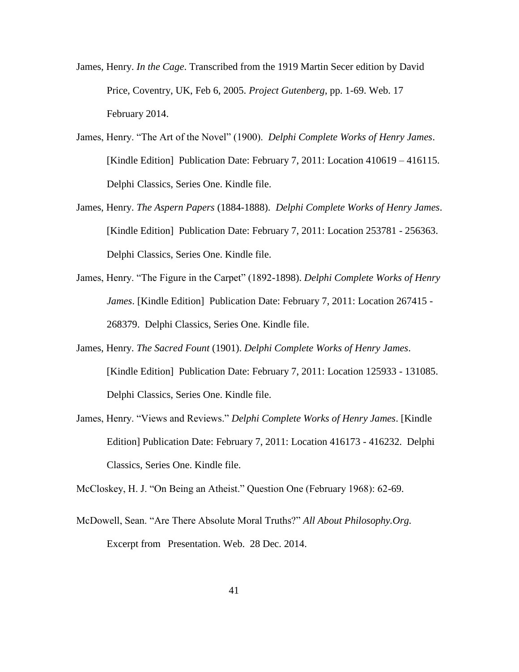- James, Henry. *In the Cage*. Transcribed from the 1919 Martin Secer edition by David Price, Coventry, UK, Feb 6, 2005. *Project Gutenberg*, pp. 1-69. Web. 17 February 2014.
- James, Henry. "The Art of the Novel" (1900). *Delphi Complete Works of Henry James*. [Kindle Edition] Publication Date: February 7, 2011: Location 410619 – 416115. Delphi Classics, Series One. Kindle file.
- James, Henry. *The Aspern Papers* (1884-1888). *Delphi Complete Works of Henry James*. [Kindle Edition] Publication Date: February 7, 2011: Location 253781 - 256363. Delphi Classics, Series One. Kindle file.
- James, Henry. "The Figure in the Carpet" (1892-1898). *Delphi Complete Works of Henry James*. [Kindle Edition] Publication Date: February 7, 2011: Location 267415 - 268379. Delphi Classics, Series One. Kindle file.
- James, Henry. *The Sacred Fount* (1901). *Delphi Complete Works of Henry James*. [Kindle Edition] Publication Date: February 7, 2011: Location 125933 - 131085. Delphi Classics, Series One. Kindle file.
- James, Henry. "Views and Reviews." *Delphi Complete Works of Henry James*. [Kindle Edition] Publication Date: February 7, 2011: Location 416173 - 416232. Delphi Classics, Series One. Kindle file.

McCloskey, H. J. "On Being an Atheist." Question One (February 1968): 62-69.

McDowell, Sean. "Are There Absolute Moral Truths?" *All About Philosophy.Org.* Excerpt from Presentation. Web. 28 Dec. 2014.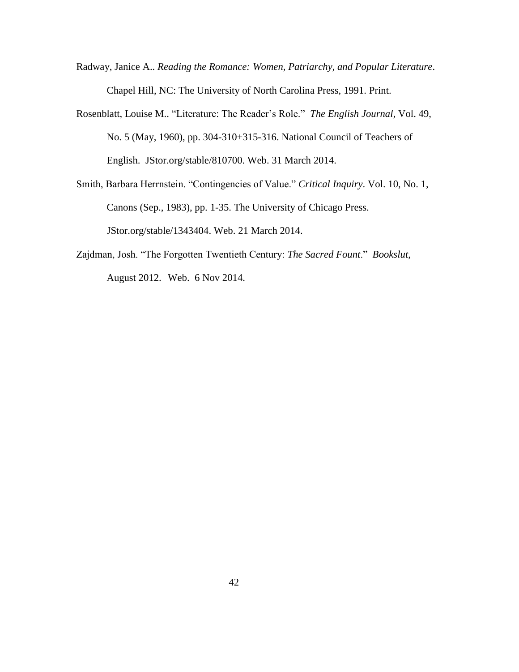- Radway, Janice A.. *Reading the Romance: Women, Patriarchy, and Popular Literature*. Chapel Hill, NC: The University of North Carolina Press, 1991. Print.
- Rosenblatt, Louise M.. "Literature: The Reader's Role." *The English Journal*, Vol. 49, No. 5 (May, 1960), pp. 304-310+315-316. National Council of Teachers of English. JStor.org/stable/810700. Web. 31 March 2014.
- Smith, Barbara Herrnstein. "Contingencies of Value." *Critical Inquiry*. Vol. 10, No. 1, Canons (Sep., 1983), pp. 1-35. The University of Chicago Press. JStor.org/stable/1343404. Web. 21 March 2014.
- Zajdman, Josh. "The Forgotten Twentieth Century: *The Sacred Fount*." *Bookslut*, August 2012. Web. 6 Nov 2014.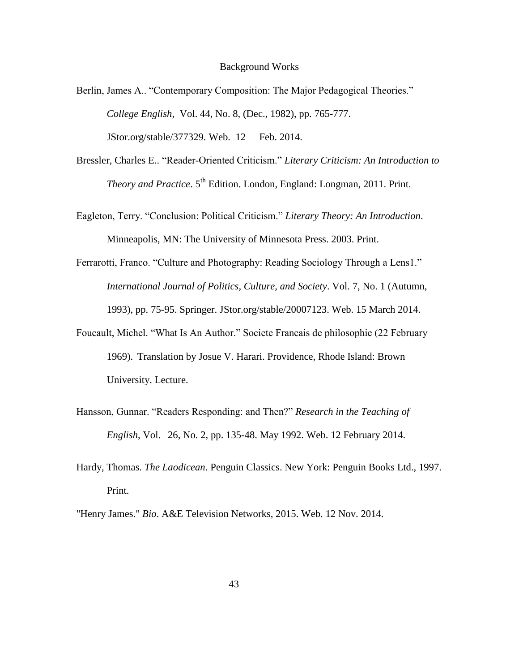#### Background Works

- Berlin, James A.. "Contemporary Composition: The Major Pedagogical Theories." *College English*, Vol. 44, No. 8, (Dec., 1982), pp. 765-777. JStor.org/stable/377329. Web. 12 Feb. 2014.
- Bressler, Charles E.. "Reader-Oriented Criticism." *Literary Criticism: An Introduction to Theory and Practice*. 5<sup>th</sup> Edition. London, England: Longman, 2011. Print.
- Eagleton, Terry. "Conclusion: Political Criticism." *Literary Theory: An Introduction*. Minneapolis, MN: The University of Minnesota Press. 2003. Print.
- Ferrarotti, Franco. "Culture and Photography: Reading Sociology Through a Lens1." *International Journal of Politics, Culture, and Society*. Vol. 7, No. 1 (Autumn, 1993), pp. 75-95. Springer. JStor.org/stable/20007123. Web. 15 March 2014.
- Foucault, Michel. "What Is An Author." Societe Francais de philosophie (22 February 1969). Translation by Josue V. Harari. Providence, Rhode Island: Brown University. Lecture.
- Hansson, Gunnar. "Readers Responding: and Then?" *Research in the Teaching of English*, Vol. 26, No. 2, pp. 135-48. May 1992. Web. 12 February 2014.
- Hardy, Thomas. *The Laodicean*. Penguin Classics. New York: Penguin Books Ltd., 1997. Print.
- "Henry James." *Bio*. A&E Television Networks, 2015. Web. 12 Nov. 2014.